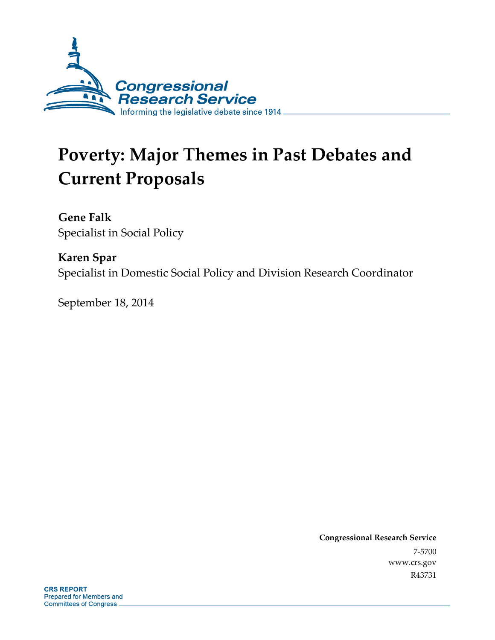

# **Poverty: Major Themes in Past Debates and Current Proposals**

**Gene Falk**  Specialist in Social Policy

**Karen Spar**  Specialist in Domestic Social Policy and Division Research Coordinator

September 18, 2014

**Congressional Research Service**  7-5700 www.crs.gov R43731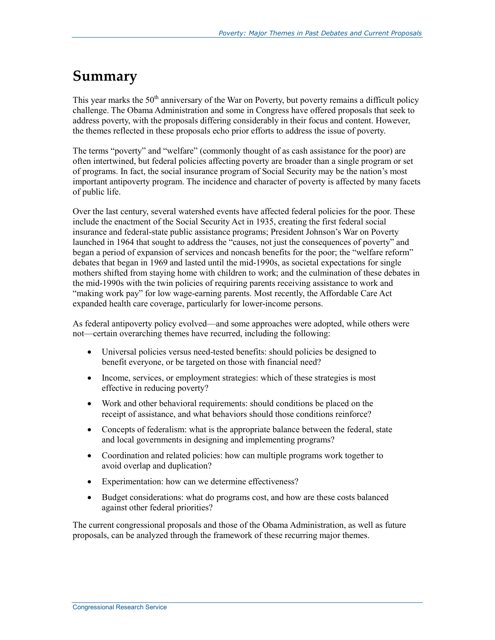# **Summary**

This year marks the  $50<sup>th</sup>$  anniversary of the War on Poverty, but poverty remains a difficult policy challenge. The Obama Administration and some in Congress have offered proposals that seek to address poverty, with the proposals differing considerably in their focus and content. However, the themes reflected in these proposals echo prior efforts to address the issue of poverty.

The terms "poverty" and "welfare" (commonly thought of as cash assistance for the poor) are often intertwined, but federal policies affecting poverty are broader than a single program or set of programs. In fact, the social insurance program of Social Security may be the nation's most important antipoverty program. The incidence and character of poverty is affected by many facets of public life.

Over the last century, several watershed events have affected federal policies for the poor. These include the enactment of the Social Security Act in 1935, creating the first federal social insurance and federal-state public assistance programs; President Johnson's War on Poverty launched in 1964 that sought to address the "causes, not just the consequences of poverty" and began a period of expansion of services and noncash benefits for the poor; the "welfare reform" debates that began in 1969 and lasted until the mid-1990s, as societal expectations for single mothers shifted from staying home with children to work; and the culmination of these debates in the mid-1990s with the twin policies of requiring parents receiving assistance to work and "making work pay" for low wage-earning parents. Most recently, the Affordable Care Act expanded health care coverage, particularly for lower-income persons.

As federal antipoverty policy evolved—and some approaches were adopted, while others were not—certain overarching themes have recurred, including the following:

- Universal policies versus need-tested benefits: should policies be designed to benefit everyone, or be targeted on those with financial need?
- Income, services, or employment strategies: which of these strategies is most effective in reducing poverty?
- Work and other behavioral requirements: should conditions be placed on the receipt of assistance, and what behaviors should those conditions reinforce?
- Concepts of federalism: what is the appropriate balance between the federal, state and local governments in designing and implementing programs?
- Coordination and related policies: how can multiple programs work together to avoid overlap and duplication?
- Experimentation: how can we determine effectiveness?
- Budget considerations: what do programs cost, and how are these costs balanced against other federal priorities?

The current congressional proposals and those of the Obama Administration, as well as future proposals, can be analyzed through the framework of these recurring major themes.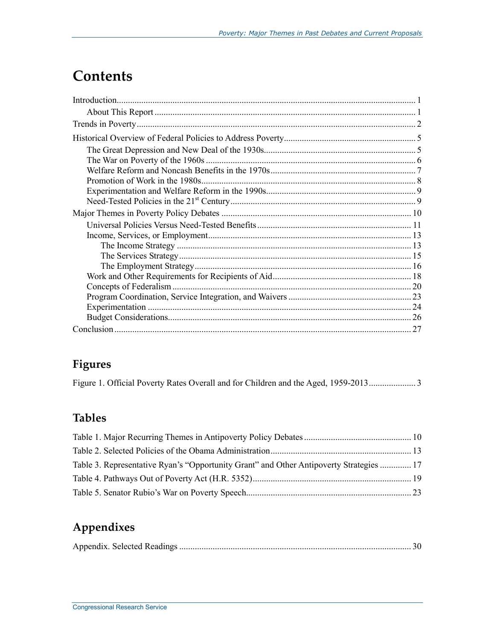# **Contents**

| 27 |
|----|

# **Figures**

## **Tables**

| Table 3. Representative Ryan's "Opportunity Grant" and Other Antipoverty Strategies  17 |  |
|-----------------------------------------------------------------------------------------|--|
|                                                                                         |  |
|                                                                                         |  |

## **Appendixes**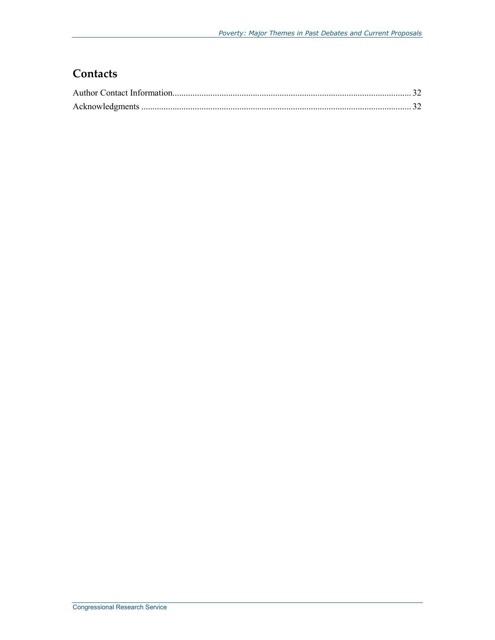## **Contacts**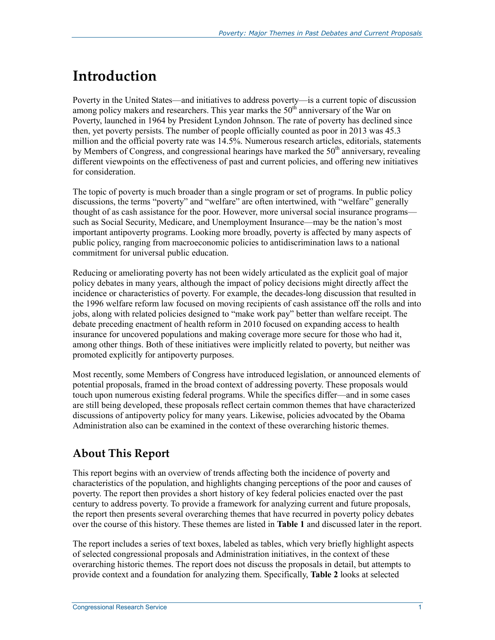# **Introduction**

Poverty in the United States—and initiatives to address poverty—is a current topic of discussion among policy makers and researchers. This year marks the  $50<sup>th</sup>$  anniversary of the War on Poverty, launched in 1964 by President Lyndon Johnson. The rate of poverty has declined since then, yet poverty persists. The number of people officially counted as poor in 2013 was 45.3 million and the official poverty rate was 14.5%. Numerous research articles, editorials, statements by Members of Congress, and congressional hearings have marked the  $50<sup>th</sup>$  anniversary, revealing different viewpoints on the effectiveness of past and current policies, and offering new initiatives for consideration.

The topic of poverty is much broader than a single program or set of programs. In public policy discussions, the terms "poverty" and "welfare" are often intertwined, with "welfare" generally thought of as cash assistance for the poor. However, more universal social insurance programs such as Social Security, Medicare, and Unemployment Insurance—may be the nation's most important antipoverty programs. Looking more broadly, poverty is affected by many aspects of public policy, ranging from macroeconomic policies to antidiscrimination laws to a national commitment for universal public education.

Reducing or ameliorating poverty has not been widely articulated as the explicit goal of major policy debates in many years, although the impact of policy decisions might directly affect the incidence or characteristics of poverty. For example, the decades-long discussion that resulted in the 1996 welfare reform law focused on moving recipients of cash assistance off the rolls and into jobs, along with related policies designed to "make work pay" better than welfare receipt. The debate preceding enactment of health reform in 2010 focused on expanding access to health insurance for uncovered populations and making coverage more secure for those who had it, among other things. Both of these initiatives were implicitly related to poverty, but neither was promoted explicitly for antipoverty purposes.

Most recently, some Members of Congress have introduced legislation, or announced elements of potential proposals, framed in the broad context of addressing poverty. These proposals would touch upon numerous existing federal programs. While the specifics differ—and in some cases are still being developed, these proposals reflect certain common themes that have characterized discussions of antipoverty policy for many years. Likewise, policies advocated by the Obama Administration also can be examined in the context of these overarching historic themes.

## **About This Report**

This report begins with an overview of trends affecting both the incidence of poverty and characteristics of the population, and highlights changing perceptions of the poor and causes of poverty. The report then provides a short history of key federal policies enacted over the past century to address poverty. To provide a framework for analyzing current and future proposals, the report then presents several overarching themes that have recurred in poverty policy debates over the course of this history. These themes are listed in **Table 1** and discussed later in the report.

The report includes a series of text boxes, labeled as tables, which very briefly highlight aspects of selected congressional proposals and Administration initiatives, in the context of these overarching historic themes. The report does not discuss the proposals in detail, but attempts to provide context and a foundation for analyzing them. Specifically, **Table 2** looks at selected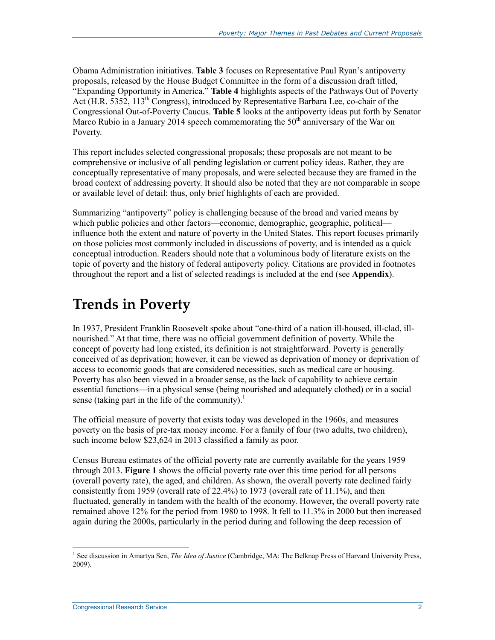Obama Administration initiatives. **Table 3** focuses on Representative Paul Ryan's antipoverty proposals, released by the House Budget Committee in the form of a discussion draft titled, "Expanding Opportunity in America." **Table 4** highlights aspects of the Pathways Out of Poverty Act (H.R. 5352,  $113^{th}$  Congress), introduced by Representative Barbara Lee, co-chair of the Congressional Out-of-Poverty Caucus. **Table 5** looks at the antipoverty ideas put forth by Senator Marco Rubio in a January 2014 speech commemorating the  $50<sup>th</sup>$  anniversary of the War on Poverty.

This report includes selected congressional proposals; these proposals are not meant to be comprehensive or inclusive of all pending legislation or current policy ideas. Rather, they are conceptually representative of many proposals, and were selected because they are framed in the broad context of addressing poverty. It should also be noted that they are not comparable in scope or available level of detail; thus, only brief highlights of each are provided.

Summarizing "antipoverty" policy is challenging because of the broad and varied means by which public policies and other factors—economic, demographic, geographic, political influence both the extent and nature of poverty in the United States. This report focuses primarily on those policies most commonly included in discussions of poverty, and is intended as a quick conceptual introduction. Readers should note that a voluminous body of literature exists on the topic of poverty and the history of federal antipoverty policy. Citations are provided in footnotes throughout the report and a list of selected readings is included at the end (see **Appendix**).

# **Trends in Poverty**

In 1937, President Franklin Roosevelt spoke about "one-third of a nation ill-housed, ill-clad, illnourished." At that time, there was no official government definition of poverty. While the concept of poverty had long existed, its definition is not straightforward. Poverty is generally conceived of as deprivation; however, it can be viewed as deprivation of money or deprivation of access to economic goods that are considered necessities, such as medical care or housing. Poverty has also been viewed in a broader sense, as the lack of capability to achieve certain essential functions—in a physical sense (being nourished and adequately clothed) or in a social sense (taking part in the life of the community).<sup>1</sup>

The official measure of poverty that exists today was developed in the 1960s, and measures poverty on the basis of pre-tax money income. For a family of four (two adults, two children), such income below \$23,624 in 2013 classified a family as poor.

Census Bureau estimates of the official poverty rate are currently available for the years 1959 through 2013. **Figure 1** shows the official poverty rate over this time period for all persons (overall poverty rate), the aged, and children. As shown, the overall poverty rate declined fairly consistently from 1959 (overall rate of 22.4%) to 1973 (overall rate of 11.1%), and then fluctuated, generally in tandem with the health of the economy. However, the overall poverty rate remained above 12% for the period from 1980 to 1998. It fell to 11.3% in 2000 but then increased again during the 2000s, particularly in the period during and following the deep recession of

<sup>&</sup>lt;sup>1</sup> See discussion in Amartya Sen, *The Idea of Justice* (Cambridge, MA: The Belknap Press of Harvard University Press, 2009).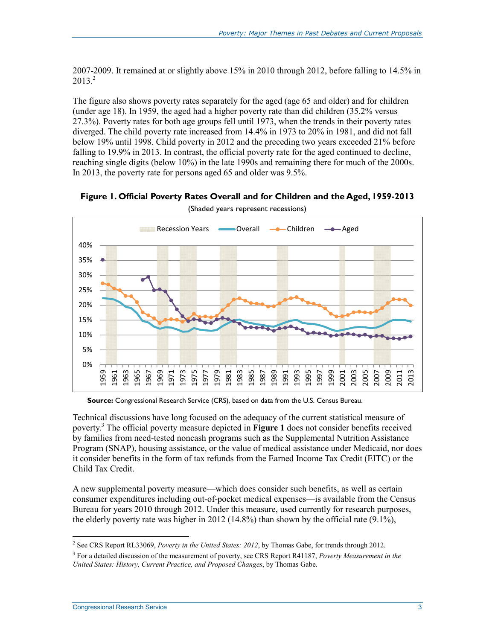2007-2009. It remained at or slightly above 15% in 2010 through 2012, before falling to 14.5% in  $2013.<sup>2</sup>$ 

The figure also shows poverty rates separately for the aged (age 65 and older) and for children (under age 18). In 1959, the aged had a higher poverty rate than did children (35.2% versus 27.3%). Poverty rates for both age groups fell until 1973, when the trends in their poverty rates diverged. The child poverty rate increased from 14.4% in 1973 to 20% in 1981, and did not fall below 19% until 1998. Child poverty in 2012 and the preceding two years exceeded 21% before falling to 19.9% in 2013. In contrast, the official poverty rate for the aged continued to decline, reaching single digits (below 10%) in the late 1990s and remaining there for much of the 2000s. In 2013, the poverty rate for persons aged 65 and older was 9.5%.



**Figure 1. Official Poverty Rates Overall and for Children and the Aged, 1959-2013** 

(Shaded years represent recessions)

**Source:** Congressional Research Service (CRS), based on data from the U.S. Census Bureau.

Technical discussions have long focused on the adequacy of the current statistical measure of poverty.3 The official poverty measure depicted in **Figure 1** does not consider benefits received by families from need-tested noncash programs such as the Supplemental Nutrition Assistance Program (SNAP), housing assistance, or the value of medical assistance under Medicaid, nor does it consider benefits in the form of tax refunds from the Earned Income Tax Credit (EITC) or the Child Tax Credit.

A new supplemental poverty measure—which does consider such benefits, as well as certain consumer expenditures including out-of-pocket medical expenses—is available from the Census Bureau for years 2010 through 2012. Under this measure, used currently for research purposes, the elderly poverty rate was higher in 2012 (14.8%) than shown by the official rate (9.1%),

<sup>2</sup> See CRS Report RL33069, *Poverty in the United States: 2012*, by Thomas Gabe, for trends through 2012.

<sup>3</sup> For a detailed discussion of the measurement of poverty, see CRS Report R41187, *Poverty Measurement in the United States: History, Current Practice, and Proposed Changes*, by Thomas Gabe.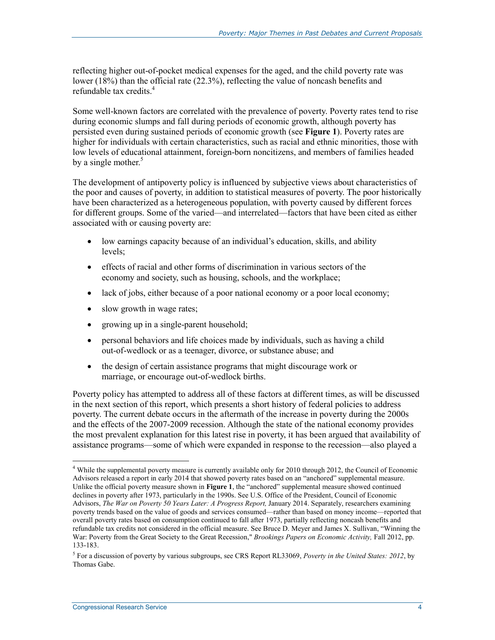reflecting higher out-of-pocket medical expenses for the aged, and the child poverty rate was lower (18%) than the official rate (22.3%), reflecting the value of noncash benefits and refundable tax credits.<sup>4</sup>

Some well-known factors are correlated with the prevalence of poverty. Poverty rates tend to rise during economic slumps and fall during periods of economic growth, although poverty has persisted even during sustained periods of economic growth (see **Figure 1**). Poverty rates are higher for individuals with certain characteristics, such as racial and ethnic minorities, those with low levels of educational attainment, foreign-born noncitizens, and members of families headed by a single mother. $5$ 

The development of antipoverty policy is influenced by subjective views about characteristics of the poor and causes of poverty, in addition to statistical measures of poverty. The poor historically have been characterized as a heterogeneous population, with poverty caused by different forces for different groups. Some of the varied—and interrelated—factors that have been cited as either associated with or causing poverty are:

- low earnings capacity because of an individual's education, skills, and ability levels;
- effects of racial and other forms of discrimination in various sectors of the economy and society, such as housing, schools, and the workplace;
- lack of jobs, either because of a poor national economy or a poor local economy;
- slow growth in wage rates;
- growing up in a single-parent household;
- personal behaviors and life choices made by individuals, such as having a child out-of-wedlock or as a teenager, divorce, or substance abuse; and
- the design of certain assistance programs that might discourage work or marriage, or encourage out-of-wedlock births.

Poverty policy has attempted to address all of these factors at different times, as will be discussed in the next section of this report, which presents a short history of federal policies to address poverty. The current debate occurs in the aftermath of the increase in poverty during the 2000s and the effects of the 2007-2009 recession. Although the state of the national economy provides the most prevalent explanation for this latest rise in poverty, it has been argued that availability of assistance programs—some of which were expanded in response to the recession—also played a

<sup>&</sup>lt;sup>4</sup> While the supplemental poverty measure is currently available only for 2010 through 2012, the Council of Economic Advisors released a report in early 2014 that showed poverty rates based on an "anchored" supplemental measure. Unlike the official poverty measure shown in **Figure 1**, the "anchored" supplemental measure showed continued declines in poverty after 1973, particularly in the 1990s. See U.S. Office of the President, Council of Economic Advisors, *The War on Poverty 50 Years Later: A Progress Report,* January 2014. Separately, researchers examining poverty trends based on the value of goods and services consumed—rather than based on money income—reported that overall poverty rates based on consumption continued to fall after 1973, partially reflecting noncash benefits and refundable tax credits not considered in the official measure. See Bruce D. Meyer and James X. Sullivan, "Winning the War: Poverty from the Great Society to the Great Recession," *Brookings Papers on Economic Activity,* Fall 2012, pp. 133-183.

<sup>5</sup> For a discussion of poverty by various subgroups, see CRS Report RL33069, *Poverty in the United States: 2012*, by Thomas Gabe.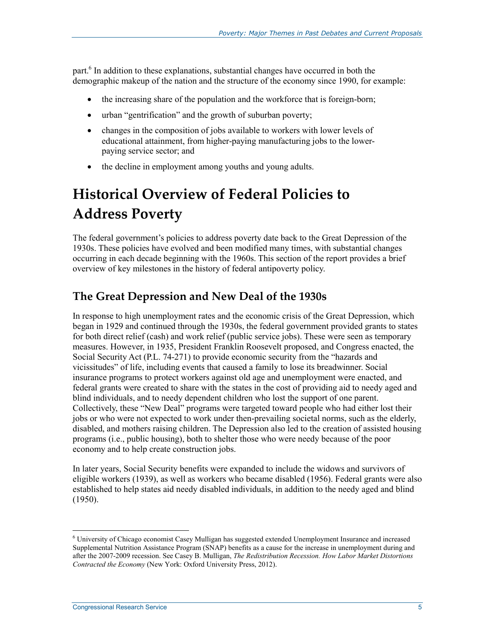part.<sup>6</sup> In addition to these explanations, substantial changes have occurred in both the demographic makeup of the nation and the structure of the economy since 1990, for example:

- the increasing share of the population and the workforce that is foreign-born;
- urban "gentrification" and the growth of suburban poverty;
- changes in the composition of jobs available to workers with lower levels of educational attainment, from higher-paying manufacturing jobs to the lowerpaying service sector; and
- the decline in employment among youths and young adults.

# **Historical Overview of Federal Policies to Address Poverty**

The federal government's policies to address poverty date back to the Great Depression of the 1930s. These policies have evolved and been modified many times, with substantial changes occurring in each decade beginning with the 1960s. This section of the report provides a brief overview of key milestones in the history of federal antipoverty policy.

### **The Great Depression and New Deal of the 1930s**

In response to high unemployment rates and the economic crisis of the Great Depression, which began in 1929 and continued through the 1930s, the federal government provided grants to states for both direct relief (cash) and work relief (public service jobs). These were seen as temporary measures. However, in 1935, President Franklin Roosevelt proposed, and Congress enacted, the Social Security Act (P.L. 74-271) to provide economic security from the "hazards and vicissitudes" of life, including events that caused a family to lose its breadwinner. Social insurance programs to protect workers against old age and unemployment were enacted, and federal grants were created to share with the states in the cost of providing aid to needy aged and blind individuals, and to needy dependent children who lost the support of one parent. Collectively, these "New Deal" programs were targeted toward people who had either lost their jobs or who were not expected to work under then-prevailing societal norms, such as the elderly, disabled, and mothers raising children. The Depression also led to the creation of assisted housing programs (i.e., public housing), both to shelter those who were needy because of the poor economy and to help create construction jobs.

In later years, Social Security benefits were expanded to include the widows and survivors of eligible workers (1939), as well as workers who became disabled (1956). Federal grants were also established to help states aid needy disabled individuals, in addition to the needy aged and blind (1950).

<sup>&</sup>lt;sup>6</sup> University of Chicago economist Casey Mulligan has suggested extended Unemployment Insurance and increased Supplemental Nutrition Assistance Program (SNAP) benefits as a cause for the increase in unemployment during and after the 2007-2009 recession. See Casey B. Mulligan, *The Redistribution Recession. How Labor Market Distortions Contracted the Economy* (New York: Oxford University Press, 2012).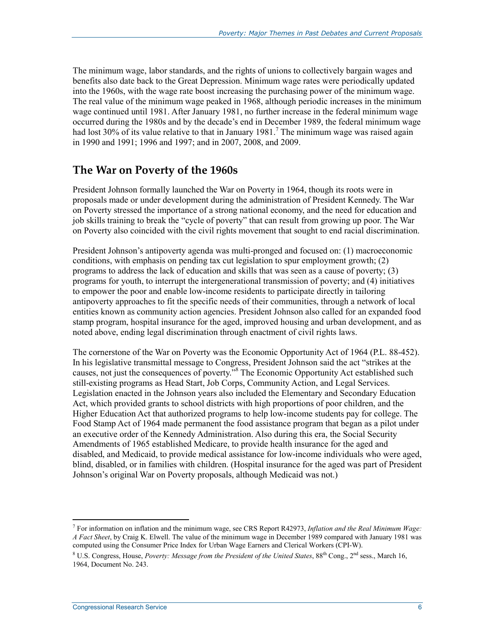The minimum wage, labor standards, and the rights of unions to collectively bargain wages and benefits also date back to the Great Depression. Minimum wage rates were periodically updated into the 1960s, with the wage rate boost increasing the purchasing power of the minimum wage. The real value of the minimum wage peaked in 1968, although periodic increases in the minimum wage continued until 1981. After January 1981, no further increase in the federal minimum wage occurred during the 1980s and by the decade's end in December 1989, the federal minimum wage had lost 30% of its value relative to that in January 1981.<sup>7</sup> The minimum wage was raised again in 1990 and 1991; 1996 and 1997; and in 2007, 2008, and 2009.

### **The War on Poverty of the 1960s**

President Johnson formally launched the War on Poverty in 1964, though its roots were in proposals made or under development during the administration of President Kennedy. The War on Poverty stressed the importance of a strong national economy, and the need for education and job skills training to break the "cycle of poverty" that can result from growing up poor. The War on Poverty also coincided with the civil rights movement that sought to end racial discrimination.

President Johnson's antipoverty agenda was multi-pronged and focused on: (1) macroeconomic conditions, with emphasis on pending tax cut legislation to spur employment growth; (2) programs to address the lack of education and skills that was seen as a cause of poverty; (3) programs for youth, to interrupt the intergenerational transmission of poverty; and (4) initiatives to empower the poor and enable low-income residents to participate directly in tailoring antipoverty approaches to fit the specific needs of their communities, through a network of local entities known as community action agencies. President Johnson also called for an expanded food stamp program, hospital insurance for the aged, improved housing and urban development, and as noted above, ending legal discrimination through enactment of civil rights laws.

The cornerstone of the War on Poverty was the Economic Opportunity Act of 1964 (P.L. 88-452). In his legislative transmittal message to Congress, President Johnson said the act "strikes at the causes, not just the consequences of poverty."8 The Economic Opportunity Act established such still-existing programs as Head Start, Job Corps, Community Action, and Legal Services. Legislation enacted in the Johnson years also included the Elementary and Secondary Education Act, which provided grants to school districts with high proportions of poor children, and the Higher Education Act that authorized programs to help low-income students pay for college. The Food Stamp Act of 1964 made permanent the food assistance program that began as a pilot under an executive order of the Kennedy Administration. Also during this era, the Social Security Amendments of 1965 established Medicare, to provide health insurance for the aged and disabled, and Medicaid, to provide medical assistance for low-income individuals who were aged, blind, disabled, or in families with children. (Hospital insurance for the aged was part of President Johnson's original War on Poverty proposals, although Medicaid was not.)

<sup>7</sup> For information on inflation and the minimum wage, see CRS Report R42973, *Inflation and the Real Minimum Wage: A Fact Sheet*, by Craig K. Elwell. The value of the minimum wage in December 1989 compared with January 1981 was computed using the Consumer Price Index for Urban Wage Earners and Clerical Workers (CPI-W).

<sup>&</sup>lt;sup>8</sup> U.S. Congress, House, *Poverty: Message from the President of the United States*, 88<sup>th</sup> Cong., 2<sup>nd</sup> sess., March 16, 1964, Document No. 243.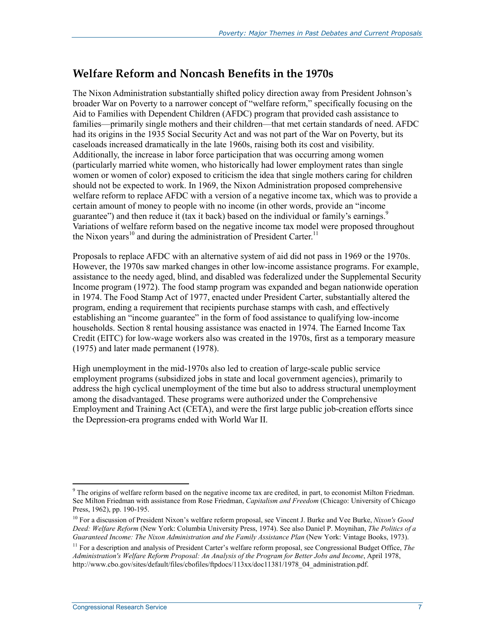### **Welfare Reform and Noncash Benefits in the 1970s**

The Nixon Administration substantially shifted policy direction away from President Johnson's broader War on Poverty to a narrower concept of "welfare reform," specifically focusing on the Aid to Families with Dependent Children (AFDC) program that provided cash assistance to families—primarily single mothers and their children—that met certain standards of need. AFDC had its origins in the 1935 Social Security Act and was not part of the War on Poverty, but its caseloads increased dramatically in the late 1960s, raising both its cost and visibility. Additionally, the increase in labor force participation that was occurring among women (particularly married white women, who historically had lower employment rates than single women or women of color) exposed to criticism the idea that single mothers caring for children should not be expected to work. In 1969, the Nixon Administration proposed comprehensive welfare reform to replace AFDC with a version of a negative income tax, which was to provide a certain amount of money to people with no income (in other words, provide an "income guarantee") and then reduce it (tax it back) based on the individual or family's earnings.<sup>9</sup> Variations of welfare reform based on the negative income tax model were proposed throughout the Nixon years<sup>10</sup> and during the administration of President Carter.<sup>11</sup>

Proposals to replace AFDC with an alternative system of aid did not pass in 1969 or the 1970s. However, the 1970s saw marked changes in other low-income assistance programs. For example, assistance to the needy aged, blind, and disabled was federalized under the Supplemental Security Income program (1972). The food stamp program was expanded and began nationwide operation in 1974. The Food Stamp Act of 1977, enacted under President Carter, substantially altered the program, ending a requirement that recipients purchase stamps with cash, and effectively establishing an "income guarantee" in the form of food assistance to qualifying low-income households. Section 8 rental housing assistance was enacted in 1974. The Earned Income Tax Credit (EITC) for low-wage workers also was created in the 1970s, first as a temporary measure (1975) and later made permanent (1978).

High unemployment in the mid-1970s also led to creation of large-scale public service employment programs (subsidized jobs in state and local government agencies), primarily to address the high cyclical unemployment of the time but also to address structural unemployment among the disadvantaged. These programs were authorized under the Comprehensive Employment and Training Act (CETA), and were the first large public job-creation efforts since the Depression-era programs ended with World War II.

<sup>&</sup>lt;sup>9</sup> The origins of welfare reform based on the negative income tax are credited, in part, to economist Milton Friedman. See Milton Friedman with assistance from Rose Friedman, *Capitalism and Freedom* (Chicago: University of Chicago Press, 1962), pp. 190-195.

<sup>10</sup> For a discussion of President Nixon's welfare reform proposal, see Vincent J. Burke and Vee Burke, *Nixon's Good Deed: Welfare Reform* (New York: Columbia University Press, 1974). See also Daniel P. Moynihan, *The Politics of a Guaranteed Income: The Nixon Administration and the Family Assistance Plan* (New York: Vintage Books, 1973).

<sup>11</sup> For a description and analysis of President Carter's welfare reform proposal, see Congressional Budget Office, *The Administration's Welfare Reform Proposal: An Analysis of the Program for Better Jobs and Income*, April 1978, http://www.cbo.gov/sites/default/files/cbofiles/ftpdocs/113xx/doc11381/1978\_04\_administration.pdf.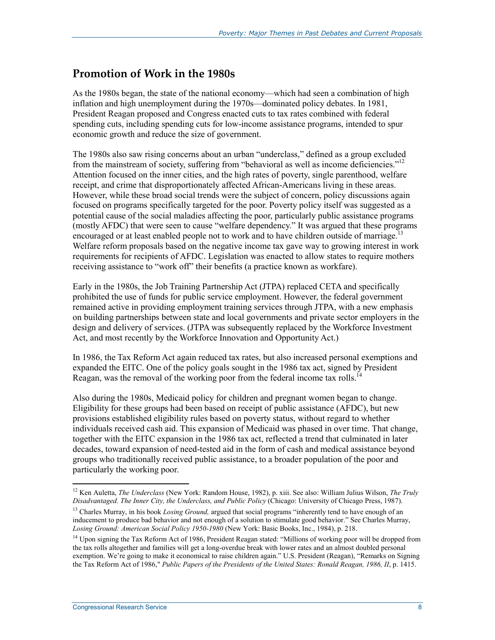### **Promotion of Work in the 1980s**

As the 1980s began, the state of the national economy—which had seen a combination of high inflation and high unemployment during the 1970s—dominated policy debates. In 1981, President Reagan proposed and Congress enacted cuts to tax rates combined with federal spending cuts, including spending cuts for low-income assistance programs, intended to spur economic growth and reduce the size of government.

The 1980s also saw rising concerns about an urban "underclass," defined as a group excluded from the mainstream of society, suffering from "behavioral as well as income deficiencies."<sup>12</sup> Attention focused on the inner cities, and the high rates of poverty, single parenthood, welfare receipt, and crime that disproportionately affected African-Americans living in these areas. However, while these broad social trends were the subject of concern, policy discussions again focused on programs specifically targeted for the poor. Poverty policy itself was suggested as a potential cause of the social maladies affecting the poor, particularly public assistance programs (mostly AFDC) that were seen to cause "welfare dependency." It was argued that these programs encouraged or at least enabled people not to work and to have children outside of marriage.<sup>13</sup> Welfare reform proposals based on the negative income tax gave way to growing interest in work requirements for recipients of AFDC. Legislation was enacted to allow states to require mothers receiving assistance to "work off" their benefits (a practice known as workfare).

Early in the 1980s, the Job Training Partnership Act (JTPA) replaced CETA and specifically prohibited the use of funds for public service employment. However, the federal government remained active in providing employment training services through JTPA, with a new emphasis on building partnerships between state and local governments and private sector employers in the design and delivery of services. (JTPA was subsequently replaced by the Workforce Investment Act, and most recently by the Workforce Innovation and Opportunity Act.)

In 1986, the Tax Reform Act again reduced tax rates, but also increased personal exemptions and expanded the EITC. One of the policy goals sought in the 1986 tax act, signed by President Reagan, was the removal of the working poor from the federal income tax rolls.<sup>14</sup>

Also during the 1980s, Medicaid policy for children and pregnant women began to change. Eligibility for these groups had been based on receipt of public assistance (AFDC), but new provisions established eligibility rules based on poverty status, without regard to whether individuals received cash aid. This expansion of Medicaid was phased in over time. That change, together with the EITC expansion in the 1986 tax act, reflected a trend that culminated in later decades, toward expansion of need-tested aid in the form of cash and medical assistance beyond groups who traditionally received public assistance, to a broader population of the poor and particularly the working poor.

<sup>1</sup> 12 Ken Auletta, *The Underclass* (New York: Random House, 1982), p. xiii. See also: William Julius Wilson, *The Truly Disadvantaged. The Inner City, the Underclass, and Public Policy* (Chicago: University of Chicago Press, 1987).

<sup>&</sup>lt;sup>13</sup> Charles Murray, in his book *Losing Ground*, argued that social programs "inherently tend to have enough of an inducement to produce bad behavior and not enough of a solution to stimulate good behavior." See Charles Murray, *Losing Ground: American Social Policy 1950-1980* (New York: Basic Books, Inc., 1984), p. 218.

<sup>&</sup>lt;sup>14</sup> Upon signing the Tax Reform Act of 1986, President Reagan stated: "Millions of working poor will be dropped from the tax rolls altogether and families will get a long-overdue break with lower rates and an almost doubled personal exemption. We're going to make it economical to raise children again." U.S. President (Reagan), "Remarks on Signing the Tax Reform Act of 1986," *Public Papers of the Presidents of the United States: Ronald Reagan, 1986, II*, p. 1415.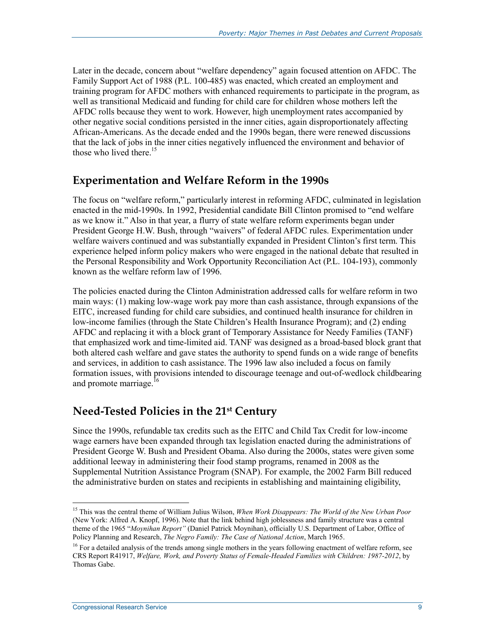Later in the decade, concern about "welfare dependency" again focused attention on AFDC. The Family Support Act of 1988 (P.L. 100-485) was enacted, which created an employment and training program for AFDC mothers with enhanced requirements to participate in the program, as well as transitional Medicaid and funding for child care for children whose mothers left the AFDC rolls because they went to work. However, high unemployment rates accompanied by other negative social conditions persisted in the inner cities, again disproportionately affecting African-Americans. As the decade ended and the 1990s began, there were renewed discussions that the lack of jobs in the inner cities negatively influenced the environment and behavior of those who lived there.<sup>15</sup>

### **Experimentation and Welfare Reform in the 1990s**

The focus on "welfare reform," particularly interest in reforming AFDC, culminated in legislation enacted in the mid-1990s. In 1992, Presidential candidate Bill Clinton promised to "end welfare as we know it." Also in that year, a flurry of state welfare reform experiments began under President George H.W. Bush, through "waivers" of federal AFDC rules. Experimentation under welfare waivers continued and was substantially expanded in President Clinton's first term. This experience helped inform policy makers who were engaged in the national debate that resulted in the Personal Responsibility and Work Opportunity Reconciliation Act (P.L. 104-193), commonly known as the welfare reform law of 1996.

The policies enacted during the Clinton Administration addressed calls for welfare reform in two main ways: (1) making low-wage work pay more than cash assistance, through expansions of the EITC, increased funding for child care subsidies, and continued health insurance for children in low-income families (through the State Children's Health Insurance Program); and (2) ending AFDC and replacing it with a block grant of Temporary Assistance for Needy Families (TANF) that emphasized work and time-limited aid. TANF was designed as a broad-based block grant that both altered cash welfare and gave states the authority to spend funds on a wide range of benefits and services, in addition to cash assistance. The 1996 law also included a focus on family formation issues, with provisions intended to discourage teenage and out-of-wedlock childbearing and promote marriage.<sup>16</sup>

### **Need-Tested Policies in the 21st Century**

Since the 1990s, refundable tax credits such as the EITC and Child Tax Credit for low-income wage earners have been expanded through tax legislation enacted during the administrations of President George W. Bush and President Obama. Also during the 2000s, states were given some additional leeway in administering their food stamp programs, renamed in 2008 as the Supplemental Nutrition Assistance Program (SNAP). For example, the 2002 Farm Bill reduced the administrative burden on states and recipients in establishing and maintaining eligibility,

<sup>15</sup> This was the central theme of William Julius Wilson, *When Work Disappears: The World of the New Urban Poor* (New York: Alfred A. Knopf, 1996). Note that the link behind high joblessness and family structure was a central theme of the 1965 "*Moynihan Report"* (Daniel Patrick Moynihan), officially U.S. Department of Labor, Office of Policy Planning and Research, *The Negro Family: The Case of National Action*, March 1965.

<sup>&</sup>lt;sup>16</sup> For a detailed analysis of the trends among single mothers in the years following enactment of welfare reform, see CRS Report R41917, *Welfare, Work, and Poverty Status of Female-Headed Families with Children: 1987-2012*, by Thomas Gabe.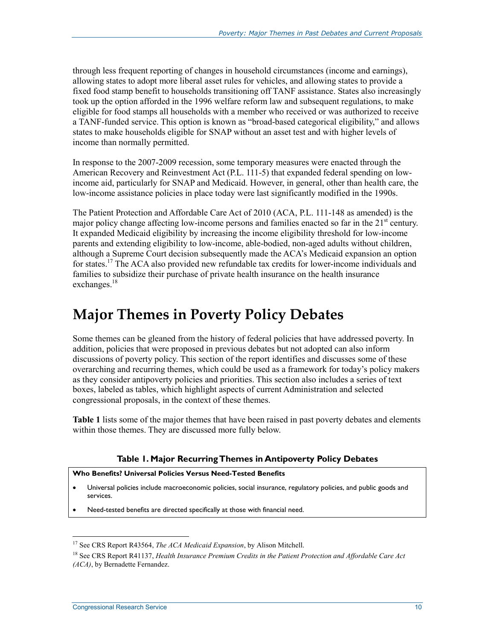through less frequent reporting of changes in household circumstances (income and earnings), allowing states to adopt more liberal asset rules for vehicles, and allowing states to provide a fixed food stamp benefit to households transitioning off TANF assistance. States also increasingly took up the option afforded in the 1996 welfare reform law and subsequent regulations, to make eligible for food stamps all households with a member who received or was authorized to receive a TANF-funded service. This option is known as "broad-based categorical eligibility," and allows states to make households eligible for SNAP without an asset test and with higher levels of income than normally permitted.

In response to the 2007-2009 recession, some temporary measures were enacted through the American Recovery and Reinvestment Act (P.L. 111-5) that expanded federal spending on lowincome aid, particularly for SNAP and Medicaid. However, in general, other than health care, the low-income assistance policies in place today were last significantly modified in the 1990s.

The Patient Protection and Affordable Care Act of 2010 (ACA, P.L. 111-148 as amended) is the major policy change affecting low-income persons and families enacted so far in the  $21<sup>st</sup>$  century. It expanded Medicaid eligibility by increasing the income eligibility threshold for low-income parents and extending eligibility to low-income, able-bodied, non-aged adults without children, although a Supreme Court decision subsequently made the ACA's Medicaid expansion an option for states.<sup>17</sup> The ACA also provided new refundable tax credits for lower-income individuals and families to subsidize their purchase of private health insurance on the health insurance exchanges.<sup>18</sup>

# **Major Themes in Poverty Policy Debates**

Some themes can be gleaned from the history of federal policies that have addressed poverty. In addition, policies that were proposed in previous debates but not adopted can also inform discussions of poverty policy. This section of the report identifies and discusses some of these overarching and recurring themes, which could be used as a framework for today's policy makers as they consider antipoverty policies and priorities. This section also includes a series of text boxes, labeled as tables, which highlight aspects of current Administration and selected congressional proposals, in the context of these themes.

**Table 1** lists some of the major themes that have been raised in past poverty debates and elements within those themes. They are discussed more fully below.

### **Table 1. Major Recurring Themes in Antipoverty Policy Debates**

### **Who Benefits? Universal Policies Versus Need-Tested Benefits**

- Universal policies include macroeconomic policies, social insurance, regulatory policies, and public goods and services.
- Need-tested benefits are directed specifically at those with financial need.

<sup>&</sup>lt;sup>17</sup> See CRS Report R43564, *The ACA Medicaid Expansion*, by Alison Mitchell.

<sup>18</sup> See CRS Report R41137, *Health Insurance Premium Credits in the Patient Protection and Affordable Care Act (ACA)*, by Bernadette Fernandez.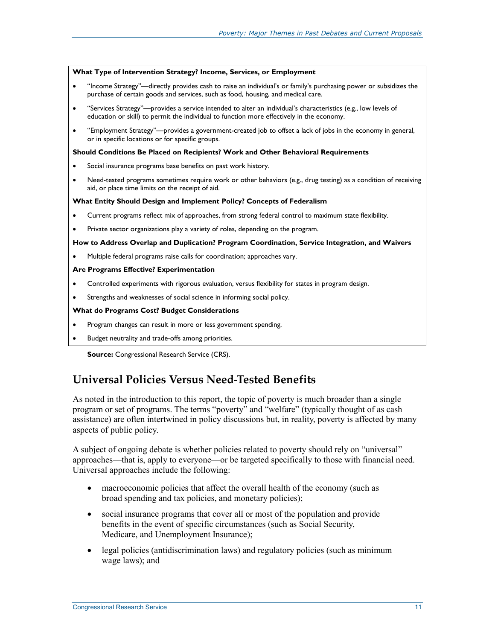#### **What Type of Intervention Strategy? Income, Services, or Employment**

- "Income Strategy"—directly provides cash to raise an individual's or family's purchasing power or subsidizes the purchase of certain goods and services, such as food, housing, and medical care.
- "Services Strategy"—provides a service intended to alter an individual's characteristics (e.g., low levels of education or skill) to permit the individual to function more effectively in the economy.
- "Employment Strategy"—provides a government-created job to offset a lack of jobs in the economy in general, or in specific locations or for specific groups.

#### **Should Conditions Be Placed on Recipients? Work and Other Behavioral Requirements**

- Social insurance programs base benefits on past work history.
- Need-tested programs sometimes require work or other behaviors (e.g., drug testing) as a condition of receiving aid, or place time limits on the receipt of aid.

#### **What Entity Should Design and Implement Policy? Concepts of Federalism**

- Current programs reflect mix of approaches, from strong federal control to maximum state flexibility.
- Private sector organizations play a variety of roles, depending on the program.

#### **How to Address Overlap and Duplication? Program Coordination, Service Integration, and Waivers**

• Multiple federal programs raise calls for coordination; approaches vary.

#### **Are Programs Effective? Experimentation**

- Controlled experiments with rigorous evaluation, versus flexibility for states in program design.
- Strengths and weaknesses of social science in informing social policy.

#### **What do Programs Cost? Budget Considerations**

- Program changes can result in more or less government spending.
- Budget neutrality and trade-offs among priorities.

**Source:** Congressional Research Service (CRS).

### **Universal Policies Versus Need-Tested Benefits**

As noted in the introduction to this report, the topic of poverty is much broader than a single program or set of programs. The terms "poverty" and "welfare" (typically thought of as cash assistance) are often intertwined in policy discussions but, in reality, poverty is affected by many aspects of public policy.

A subject of ongoing debate is whether policies related to poverty should rely on "universal" approaches—that is, apply to everyone—or be targeted specifically to those with financial need. Universal approaches include the following:

- macroeconomic policies that affect the overall health of the economy (such as broad spending and tax policies, and monetary policies);
- social insurance programs that cover all or most of the population and provide benefits in the event of specific circumstances (such as Social Security, Medicare, and Unemployment Insurance);
- legal policies (antidiscrimination laws) and regulatory policies (such as minimum wage laws); and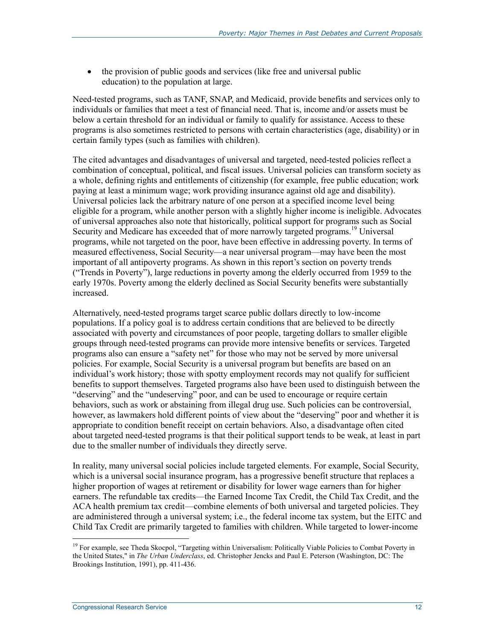• the provision of public goods and services (like free and universal public education) to the population at large.

Need-tested programs, such as TANF, SNAP, and Medicaid, provide benefits and services only to individuals or families that meet a test of financial need. That is, income and/or assets must be below a certain threshold for an individual or family to qualify for assistance. Access to these programs is also sometimes restricted to persons with certain characteristics (age, disability) or in certain family types (such as families with children).

The cited advantages and disadvantages of universal and targeted, need-tested policies reflect a combination of conceptual, political, and fiscal issues. Universal policies can transform society as a whole, defining rights and entitlements of citizenship (for example, free public education; work paying at least a minimum wage; work providing insurance against old age and disability). Universal policies lack the arbitrary nature of one person at a specified income level being eligible for a program, while another person with a slightly higher income is ineligible. Advocates of universal approaches also note that historically, political support for programs such as Social Security and Medicare has exceeded that of more narrowly targeted programs.<sup>19</sup> Universal programs, while not targeted on the poor, have been effective in addressing poverty. In terms of measured effectiveness, Social Security—a near universal program—may have been the most important of all antipoverty programs. As shown in this report's section on poverty trends ("Trends in Poverty"), large reductions in poverty among the elderly occurred from 1959 to the early 1970s. Poverty among the elderly declined as Social Security benefits were substantially increased.

Alternatively, need-tested programs target scarce public dollars directly to low-income populations. If a policy goal is to address certain conditions that are believed to be directly associated with poverty and circumstances of poor people, targeting dollars to smaller eligible groups through need-tested programs can provide more intensive benefits or services. Targeted programs also can ensure a "safety net" for those who may not be served by more universal policies. For example, Social Security is a universal program but benefits are based on an individual's work history; those with spotty employment records may not qualify for sufficient benefits to support themselves. Targeted programs also have been used to distinguish between the "deserving" and the "undeserving" poor, and can be used to encourage or require certain behaviors, such as work or abstaining from illegal drug use. Such policies can be controversial, however, as lawmakers hold different points of view about the "deserving" poor and whether it is appropriate to condition benefit receipt on certain behaviors. Also, a disadvantage often cited about targeted need-tested programs is that their political support tends to be weak, at least in part due to the smaller number of individuals they directly serve.

In reality, many universal social policies include targeted elements. For example, Social Security, which is a universal social insurance program, has a progressive benefit structure that replaces a higher proportion of wages at retirement or disability for lower wage earners than for higher earners. The refundable tax credits—the Earned Income Tax Credit, the Child Tax Credit, and the ACA health premium tax credit—combine elements of both universal and targeted policies. They are administered through a universal system; i.e., the federal income tax system, but the EITC and Child Tax Credit are primarily targeted to families with children. While targeted to lower-income

<sup>&</sup>lt;sup>19</sup> For example, see Theda Skocpol, "Targeting within Universalism: Politically Viable Policies to Combat Poverty in the United States," in *The Urban Underclass*, ed. Christopher Jencks and Paul E. Peterson (Washington, DC: The Brookings Institution, 1991), pp. 411-436.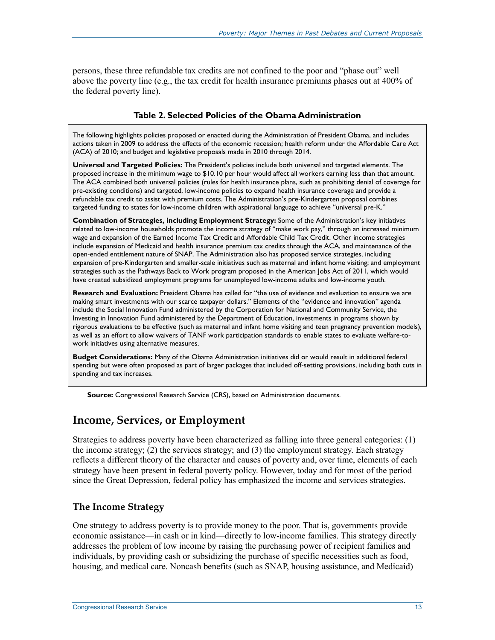persons, these three refundable tax credits are not confined to the poor and "phase out" well above the poverty line (e.g., the tax credit for health insurance premiums phases out at 400% of the federal poverty line).

### **Table 2. Selected Policies of the Obama Administration**

The following highlights policies proposed or enacted during the Administration of President Obama, and includes actions taken in 2009 to address the effects of the economic recession; health reform under the Affordable Care Act (ACA) of 2010; and budget and legislative proposals made in 2010 through 2014.

**Universal and Targeted Policies:** The President's policies include both universal and targeted elements. The proposed increase in the minimum wage to \$10.10 per hour would affect all workers earning less than that amount. The ACA combined both universal policies (rules for health insurance plans, such as prohibiting denial of coverage for pre-existing conditions) and targeted, low-income policies to expand health insurance coverage and provide a refundable tax credit to assist with premium costs. The Administration's pre-Kindergarten proposal combines targeted funding to states for low-income children with aspirational language to achieve "universal pre-K."

**Combination of Strategies, including Employment Strategy:** Some of the Administration's key initiatives related to low-income households promote the income strategy of "make work pay," through an increased minimum wage and expansion of the Earned Income Tax Credit and Affordable Child Tax Credit. Other income strategies include expansion of Medicaid and health insurance premium tax credits through the ACA, and maintenance of the open-ended entitlement nature of SNAP. The Administration also has proposed service strategies, including expansion of pre-Kindergarten and smaller-scale initiatives such as maternal and infant home visiting; and employment strategies such as the Pathways Back to Work program proposed in the American Jobs Act of 2011, which would have created subsidized employment programs for unemployed low-income adults and low-income youth.

**Research and Evaluation:** President Obama has called for "the use of evidence and evaluation to ensure we are making smart investments with our scarce taxpayer dollars." Elements of the "evidence and innovation" agenda include the Social Innovation Fund administered by the Corporation for National and Community Service, the Investing in Innovation Fund administered by the Department of Education, investments in programs shown by rigorous evaluations to be effective (such as maternal and infant home visiting and teen pregnancy prevention models), as well as an effort to allow waivers of TANF work participation standards to enable states to evaluate welfare-towork initiatives using alternative measures.

**Budget Considerations:** Many of the Obama Administration initiatives did or would result in additional federal spending but were often proposed as part of larger packages that included off-setting provisions, including both cuts in spending and tax increases.

**Source:** Congressional Research Service (CRS), based on Administration documents.

### **Income, Services, or Employment**

Strategies to address poverty have been characterized as falling into three general categories: (1) the income strategy; (2) the services strategy; and (3) the employment strategy. Each strategy reflects a different theory of the character and causes of poverty and, over time, elements of each strategy have been present in federal poverty policy. However, today and for most of the period since the Great Depression, federal policy has emphasized the income and services strategies.

### **The Income Strategy**

One strategy to address poverty is to provide money to the poor. That is, governments provide economic assistance—in cash or in kind—directly to low-income families. This strategy directly addresses the problem of low income by raising the purchasing power of recipient families and individuals, by providing cash or subsidizing the purchase of specific necessities such as food, housing, and medical care. Noncash benefits (such as SNAP, housing assistance, and Medicaid)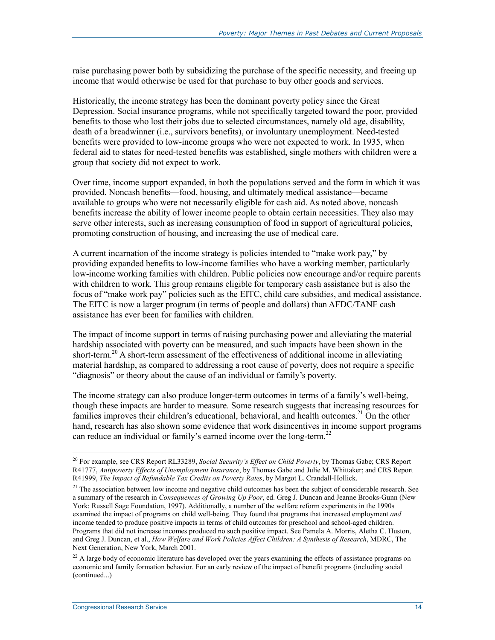raise purchasing power both by subsidizing the purchase of the specific necessity, and freeing up income that would otherwise be used for that purchase to buy other goods and services.

Historically, the income strategy has been the dominant poverty policy since the Great Depression. Social insurance programs, while not specifically targeted toward the poor, provided benefits to those who lost their jobs due to selected circumstances, namely old age, disability, death of a breadwinner (i.e., survivors benefits), or involuntary unemployment. Need-tested benefits were provided to low-income groups who were not expected to work. In 1935, when federal aid to states for need-tested benefits was established, single mothers with children were a group that society did not expect to work.

Over time, income support expanded, in both the populations served and the form in which it was provided. Noncash benefits—food, housing, and ultimately medical assistance—became available to groups who were not necessarily eligible for cash aid. As noted above, noncash benefits increase the ability of lower income people to obtain certain necessities. They also may serve other interests, such as increasing consumption of food in support of agricultural policies, promoting construction of housing, and increasing the use of medical care.

A current incarnation of the income strategy is policies intended to "make work pay," by providing expanded benefits to low-income families who have a working member, particularly low-income working families with children. Public policies now encourage and/or require parents with children to work. This group remains eligible for temporary cash assistance but is also the focus of "make work pay" policies such as the EITC, child care subsidies, and medical assistance. The EITC is now a larger program (in terms of people and dollars) than AFDC/TANF cash assistance has ever been for families with children.

The impact of income support in terms of raising purchasing power and alleviating the material hardship associated with poverty can be measured, and such impacts have been shown in the short-term.<sup>20</sup> A short-term assessment of the effectiveness of additional income in alleviating material hardship, as compared to addressing a root cause of poverty, does not require a specific "diagnosis" or theory about the cause of an individual or family's poverty.

The income strategy can also produce longer-term outcomes in terms of a family's well-being, though these impacts are harder to measure. Some research suggests that increasing resources for families improves their children's educational, behavioral, and health outcomes.<sup>21</sup> On the other hand, research has also shown some evidence that work disincentives in income support programs can reduce an individual or family's earned income over the long-term.<sup>22</sup>

<u>.</u>

<sup>20</sup> For example, see CRS Report RL33289, *Social Security's Effect on Child Poverty*, by Thomas Gabe; CRS Report R41777, *Antipoverty Effects of Unemployment Insurance*, by Thomas Gabe and Julie M. Whittaker; and CRS Report R41999, *The Impact of Refundable Tax Credits on Poverty Rates*, by Margot L. Crandall-Hollick.

 $21$  The association between low income and negative child outcomes has been the subject of considerable research. See a summary of the research in *Consequences of Growing Up Poor*, ed. Greg J. Duncan and Jeanne Brooks-Gunn (New York: Russell Sage Foundation, 1997). Additionally, a number of the welfare reform experiments in the 1990s examined the impact of programs on child well-being. They found that programs that increased employment *and*  income tended to produce positive impacts in terms of child outcomes for preschool and school-aged children. Programs that did not increase incomes produced no such positive impact. See Pamela A. Morris, Aletha C. Huston, and Greg J. Duncan, et al., *How Welfare and Work Policies Affect Children: A Synthesis of Research*, MDRC, The Next Generation, New York, March 2001.

<sup>&</sup>lt;sup>22</sup> A large body of economic literature has developed over the years examining the effects of assistance programs on economic and family formation behavior. For an early review of the impact of benefit programs (including social (continued...)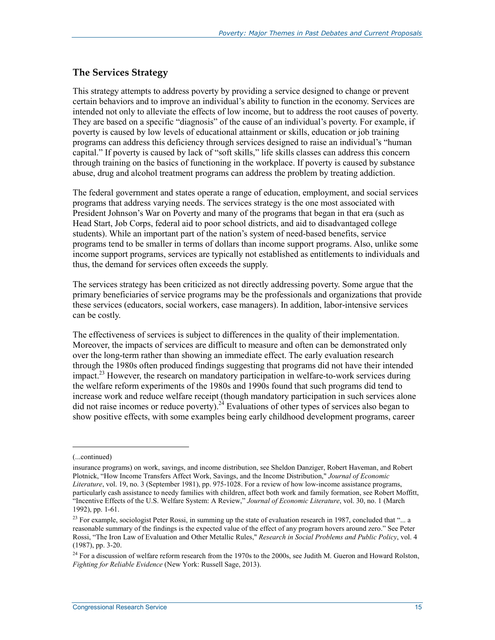### **The Services Strategy**

This strategy attempts to address poverty by providing a service designed to change or prevent certain behaviors and to improve an individual's ability to function in the economy. Services are intended not only to alleviate the effects of low income, but to address the root causes of poverty. They are based on a specific "diagnosis" of the cause of an individual's poverty. For example, if poverty is caused by low levels of educational attainment or skills, education or job training programs can address this deficiency through services designed to raise an individual's "human capital." If poverty is caused by lack of "soft skills," life skills classes can address this concern through training on the basics of functioning in the workplace. If poverty is caused by substance abuse, drug and alcohol treatment programs can address the problem by treating addiction.

The federal government and states operate a range of education, employment, and social services programs that address varying needs. The services strategy is the one most associated with President Johnson's War on Poverty and many of the programs that began in that era (such as Head Start, Job Corps, federal aid to poor school districts, and aid to disadvantaged college students). While an important part of the nation's system of need-based benefits, service programs tend to be smaller in terms of dollars than income support programs. Also, unlike some income support programs, services are typically not established as entitlements to individuals and thus, the demand for services often exceeds the supply.

The services strategy has been criticized as not directly addressing poverty. Some argue that the primary beneficiaries of service programs may be the professionals and organizations that provide these services (educators, social workers, case managers). In addition, labor-intensive services can be costly.

The effectiveness of services is subject to differences in the quality of their implementation. Moreover, the impacts of services are difficult to measure and often can be demonstrated only over the long-term rather than showing an immediate effect. The early evaluation research through the 1980s often produced findings suggesting that programs did not have their intended impact.<sup>23</sup> However, the research on mandatory participation in welfare-to-work services during the welfare reform experiments of the 1980s and 1990s found that such programs did tend to increase work and reduce welfare receipt (though mandatory participation in such services alone did not raise incomes or reduce poverty).<sup>24</sup> Evaluations of other types of services also began to show positive effects, with some examples being early childhood development programs, career

<sup>(...</sup>continued)

insurance programs) on work, savings, and income distribution, see Sheldon Danziger, Robert Haveman, and Robert Plotnick, "How Income Transfers Affect Work, Savings, and the Income Distribution," *Journal of Economic Literature*, vol. 19, no. 3 (September 1981), pp. 975-1028. For a review of how low-income assistance programs, particularly cash assistance to needy families with children, affect both work and family formation, see Robert Moffitt, "Incentive Effects of the U.S. Welfare System: A Review," *Journal of Economic Literature*, vol. 30, no. 1 (March 1992), pp. 1-61.

<sup>&</sup>lt;sup>23</sup> For example, sociologist Peter Rossi, in summing up the state of evaluation research in 1987, concluded that "... a reasonable summary of the findings is the expected value of the effect of any program hovers around zero." See Peter Rossi, "The Iron Law of Evaluation and Other Metallic Rules," *Research in Social Problems and Public Policy*, vol. 4 (1987), pp. 3-20.

 $^{24}$  For a discussion of welfare reform research from the 1970s to the 2000s, see Judith M. Gueron and Howard Rolston, *Fighting for Reliable Evidence* (New York: Russell Sage, 2013).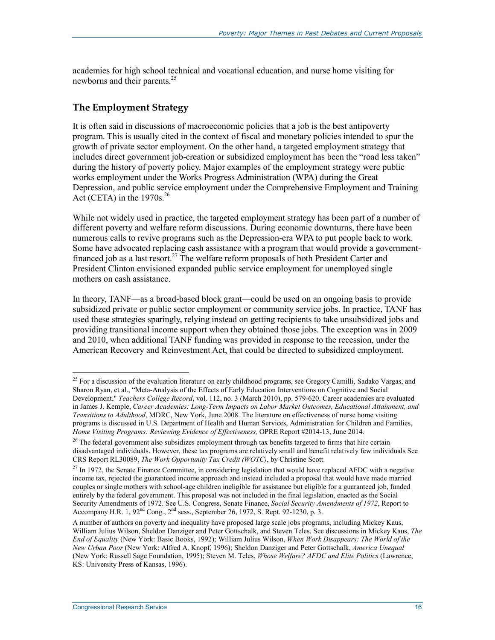academies for high school technical and vocational education, and nurse home visiting for newborns and their parents.<sup>25</sup>

### **The Employment Strategy**

It is often said in discussions of macroeconomic policies that a job is the best antipoverty program. This is usually cited in the context of fiscal and monetary policies intended to spur the growth of private sector employment. On the other hand, a targeted employment strategy that includes direct government job-creation or subsidized employment has been the "road less taken" during the history of poverty policy. Major examples of the employment strategy were public works employment under the Works Progress Administration (WPA) during the Great Depression, and public service employment under the Comprehensive Employment and Training Act (CETA) in the  $1970s.<sup>26</sup>$ 

While not widely used in practice, the targeted employment strategy has been part of a number of different poverty and welfare reform discussions. During economic downturns, there have been numerous calls to revive programs such as the Depression-era WPA to put people back to work. Some have advocated replacing cash assistance with a program that would provide a governmentfinanced job as a last resort.<sup>27</sup> The welfare reform proposals of both President Carter and President Clinton envisioned expanded public service employment for unemployed single mothers on cash assistance.

In theory, TANF—as a broad-based block grant—could be used on an ongoing basis to provide subsidized private or public sector employment or community service jobs. In practice, TANF has used these strategies sparingly, relying instead on getting recipients to take unsubsidized jobs and providing transitional income support when they obtained those jobs. The exception was in 2009 and 2010, when additional TANF funding was provided in response to the recession, under the American Recovery and Reinvestment Act, that could be directed to subsidized employment.

<sup>&</sup>lt;sup>25</sup> For a discussion of the evaluation literature on early childhood programs, see Gregory Camilli, Sadako Vargas, and Sharon Ryan, et al., "Meta-Analysis of the Effects of Early Education Interventions on Cognitive and Social Development," *Teachers College Record*, vol. 112, no. 3 (March 2010), pp. 579-620. Career academies are evaluated in James J. Kemple, *Career Academies: Long-Term Impacts on Labor Market Outcomes, Educational Attainment, and Transitions to Adulthood*, MDRC, New York, June 2008. The literature on effectiveness of nurse home visiting programs is discussed in U.S. Department of Health and Human Services, Administration for Children and Families, *Home Visiting Programs: Reviewing Evidence of Effectiveness,* OPRE Report #2014-13, June 2014.

 $^{26}$  The federal government also subsidizes employment through tax benefits targeted to firms that hire certain disadvantaged individuals. However, these tax programs are relatively small and benefit relatively few individuals See CRS Report RL30089, *The Work Opportunity Tax Credit (WOTC)*, by Christine Scott.

<sup>&</sup>lt;sup>27</sup> In 1972, the Senate Finance Committee, in considering legislation that would have replaced AFDC with a negative income tax, rejected the guaranteed income approach and instead included a proposal that would have made married couples or single mothers with school-age children ineligible for assistance but eligible for a guaranteed job, funded entirely by the federal government. This proposal was not included in the final legislation, enacted as the Social Security Amendments of 1972. See U.S. Congress, Senate Finance, *Social Security Amendments of 1972*, Report to Accompany H.R. 1,  $92<sup>nd</sup>$  Cong.,  $2<sup>nd</sup>$  sess., September 26, 1972, S. Rept. 92-1230, p. 3.

A number of authors on poverty and inequality have proposed large scale jobs programs, including Mickey Kaus, William Julius Wilson, Sheldon Danziger and Peter Gottschalk, and Steven Teles. See discussions in Mickey Kaus, *The End of Equality* (New York: Basic Books, 1992); William Julius Wilson, *When Work Disappears: The World of the New Urban Poor* (New York: Alfred A. Knopf, 1996); Sheldon Danziger and Peter Gottschalk, *America Unequal* (New York: Russell Sage Foundation, 1995); Steven M. Teles, *Whose Welfare? AFDC and Elite Politics* (Lawrence, KS: University Press of Kansas, 1996).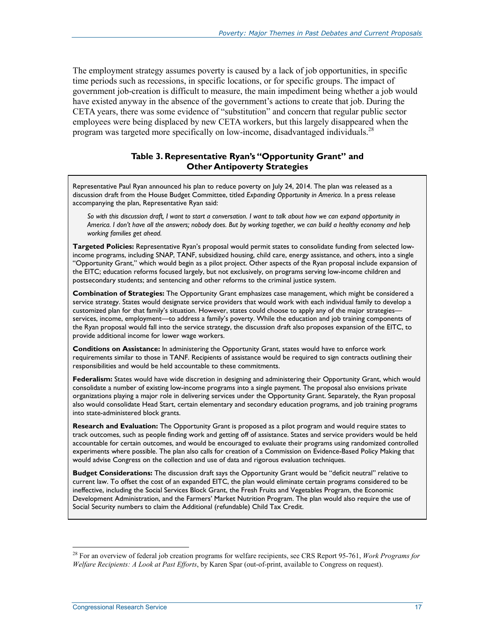The employment strategy assumes poverty is caused by a lack of job opportunities, in specific time periods such as recessions, in specific locations, or for specific groups. The impact of government job-creation is difficult to measure, the main impediment being whether a job would have existed anyway in the absence of the government's actions to create that job. During the CETA years, there was some evidence of "substitution" and concern that regular public sector employees were being displaced by new CETA workers, but this largely disappeared when the program was targeted more specifically on low-income, disadvantaged individuals.<sup>28</sup>

### **Table 3. Representative Ryan's "Opportunity Grant" and Other Antipoverty Strategies**

Representative Paul Ryan announced his plan to reduce poverty on July 24, 2014. The plan was released as a discussion draft from the House Budget Committee, titled *Expanding Opportunity in America*. In a press release accompanying the plan, Representative Ryan said:

*So with this discussion draft, I want to start a conversation. I want to talk about how we can expand opportunity in America. I don't have all the answers; nobody does. But by working together, we can build a healthy economy and help working families get ahead.*

**Targeted Policies:** Representative Ryan's proposal would permit states to consolidate funding from selected lowincome programs, including SNAP, TANF, subsidized housing, child care, energy assistance, and others, into a single "Opportunity Grant," which would begin as a pilot project. Other aspects of the Ryan proposal include expansion of the EITC; education reforms focused largely, but not exclusively, on programs serving low-income children and postsecondary students; and sentencing and other reforms to the criminal justice system.

**Combination of Strategies:** The Opportunity Grant emphasizes case management, which might be considered a service strategy. States would designate service providers that would work with each individual family to develop a customized plan for that family's situation. However, states could choose to apply any of the major strategies services, income, employment—to address a family's poverty. While the education and job training components of the Ryan proposal would fall into the service strategy, the discussion draft also proposes expansion of the EITC, to provide additional income for lower wage workers.

**Conditions on Assistance:** In administering the Opportunity Grant, states would have to enforce work requirements similar to those in TANF. Recipients of assistance would be required to sign contracts outlining their responsibilities and would be held accountable to these commitments.

**Federalism:** States would have wide discretion in designing and administering their Opportunity Grant, which would consolidate a number of existing low-income programs into a single payment. The proposal also envisions private organizations playing a major role in delivering services under the Opportunity Grant. Separately, the Ryan proposal also would consolidate Head Start, certain elementary and secondary education programs, and job training programs into state-administered block grants.

**Research and Evaluation:** The Opportunity Grant is proposed as a pilot program and would require states to track outcomes, such as people finding work and getting off of assistance. States and service providers would be held accountable for certain outcomes, and would be encouraged to evaluate their programs using randomized controlled experiments where possible. The plan also calls for creation of a Commission on Evidence-Based Policy Making that would advise Congress on the collection and use of data and rigorous evaluation techniques.

**Budget Considerations:** The discussion draft says the Opportunity Grant would be "deficit neutral" relative to current law. To offset the cost of an expanded EITC, the plan would eliminate certain programs considered to be ineffective, including the Social Services Block Grant, the Fresh Fruits and Vegetables Program, the Economic Development Administration, and the Farmers' Market Nutrition Program. The plan would also require the use of Social Security numbers to claim the Additional (refundable) Child Tax Credit.

<sup>28</sup> For an overview of federal job creation programs for welfare recipients, see CRS Report 95-761, *Work Programs for Welfare Recipients: A Look at Past Efforts*, by Karen Spar (out-of-print, available to Congress on request).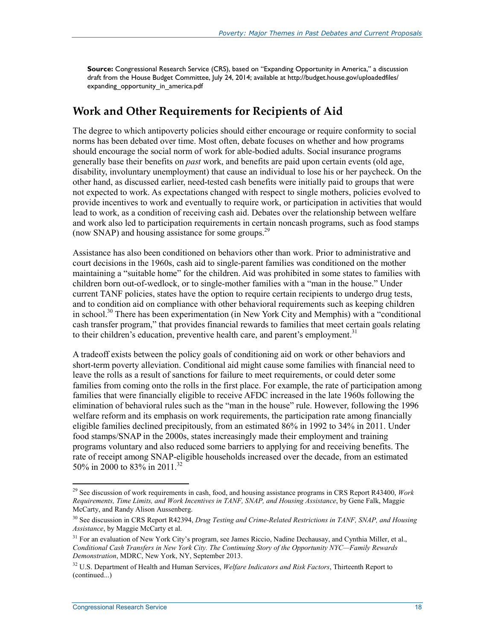**Source:** Congressional Research Service (CRS), based on "Expanding Opportunity in America," a discussion draft from the House Budget Committee, July 24, 2014; available at http://budget.house.gov/uploadedfiles/ expanding\_opportunity\_in\_america.pdf

### **Work and Other Requirements for Recipients of Aid**

The degree to which antipoverty policies should either encourage or require conformity to social norms has been debated over time. Most often, debate focuses on whether and how programs should encourage the social norm of work for able-bodied adults. Social insurance programs generally base their benefits on *past* work, and benefits are paid upon certain events (old age, disability, involuntary unemployment) that cause an individual to lose his or her paycheck. On the other hand, as discussed earlier, need-tested cash benefits were initially paid to groups that were not expected to work. As expectations changed with respect to single mothers, policies evolved to provide incentives to work and eventually to require work, or participation in activities that would lead to work, as a condition of receiving cash aid. Debates over the relationship between welfare and work also led to participation requirements in certain noncash programs, such as food stamps (now SNAP) and housing assistance for some groups.<sup>29</sup>

Assistance has also been conditioned on behaviors other than work. Prior to administrative and court decisions in the 1960s, cash aid to single-parent families was conditioned on the mother maintaining a "suitable home" for the children. Aid was prohibited in some states to families with children born out-of-wedlock, or to single-mother families with a "man in the house." Under current TANF policies, states have the option to require certain recipients to undergo drug tests, and to condition aid on compliance with other behavioral requirements such as keeping children in school.<sup>30</sup> There has been experimentation (in New York City and Memphis) with a "conditional cash transfer program," that provides financial rewards to families that meet certain goals relating to their children's education, preventive health care, and parent's employment.<sup>31</sup>

A tradeoff exists between the policy goals of conditioning aid on work or other behaviors and short-term poverty alleviation. Conditional aid might cause some families with financial need to leave the rolls as a result of sanctions for failure to meet requirements, or could deter some families from coming onto the rolls in the first place. For example, the rate of participation among families that were financially eligible to receive AFDC increased in the late 1960s following the elimination of behavioral rules such as the "man in the house" rule. However, following the 1996 welfare reform and its emphasis on work requirements, the participation rate among financially eligible families declined precipitously, from an estimated 86% in 1992 to 34% in 2011. Under food stamps/SNAP in the 2000s, states increasingly made their employment and training programs voluntary and also reduced some barriers to applying for and receiving benefits. The rate of receipt among SNAP-eligible households increased over the decade, from an estimated 50% in 2000 to 83% in 2011.32

<sup>29</sup> See discussion of work requirements in cash, food, and housing assistance programs in CRS Report R43400, *Work Requirements, Time Limits, and Work Incentives in TANF, SNAP, and Housing Assistance*, by Gene Falk, Maggie McCarty, and Randy Alison Aussenberg.

<sup>30</sup> See discussion in CRS Report R42394, *Drug Testing and Crime-Related Restrictions in TANF, SNAP, and Housing Assistance*, by Maggie McCarty et al.

<sup>&</sup>lt;sup>31</sup> For an evaluation of New York City's program, see James Riccio, Nadine Dechausay, and Cynthia Miller, et al., *Conditional Cash Transfers in New York City. The Continuing Story of the Opportunity NYC—Family Rewards Demonstration*, MDRC, New York, NY, September 2013.

<sup>32</sup> U.S. Department of Health and Human Services, *Welfare Indicators and Risk Factors*, Thirteenth Report to (continued...)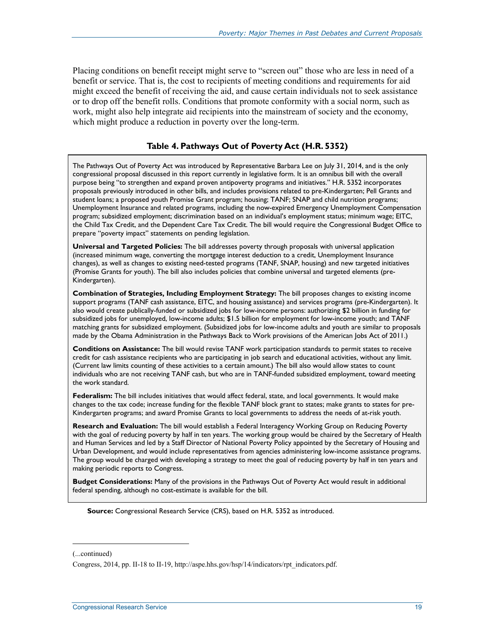Placing conditions on benefit receipt might serve to "screen out" those who are less in need of a benefit or service. That is, the cost to recipients of meeting conditions and requirements for aid might exceed the benefit of receiving the aid, and cause certain individuals not to seek assistance or to drop off the benefit rolls. Conditions that promote conformity with a social norm, such as work, might also help integrate aid recipients into the mainstream of society and the economy, which might produce a reduction in poverty over the long-term.

### **Table 4. Pathways Out of Poverty Act (H.R. 5352)**

The Pathways Out of Poverty Act was introduced by Representative Barbara Lee on July 31, 2014, and is the only congressional proposal discussed in this report currently in legislative form. It is an omnibus bill with the overall purpose being "to strengthen and expand proven antipoverty programs and initiatives." H.R. 5352 incorporates proposals previously introduced in other bills, and includes provisions related to pre-Kindergarten; Pell Grants and student loans; a proposed youth Promise Grant program; housing; TANF; SNAP and child nutrition programs; Unemployment Insurance and related programs, including the now-expired Emergency Unemployment Compensation program; subsidized employment; discrimination based on an individual's employment status; minimum wage; EITC, the Child Tax Credit, and the Dependent Care Tax Credit. The bill would require the Congressional Budget Office to prepare "poverty impact" statements on pending legislation.

**Universal and Targeted Policies:** The bill addresses poverty through proposals with universal application (increased minimum wage, converting the mortgage interest deduction to a credit, Unemployment Insurance changes), as well as changes to existing need-tested programs (TANF, SNAP, housing) and new targeted initiatives (Promise Grants for youth). The bill also includes policies that combine universal and targeted elements (pre-Kindergarten).

**Combination of Strategies, Including Employment Strategy:** The bill proposes changes to existing income support programs (TANF cash assistance, EITC, and housing assistance) and services programs (pre-Kindergarten). It also would create publically-funded or subsidized jobs for low-income persons: authorizing \$2 billion in funding for subsidized jobs for unemployed, low-income adults; \$1.5 billion for employment for low-income youth; and TANF matching grants for subsidized employment. (Subsidized jobs for low-income adults and youth are similar to proposals made by the Obama Administration in the Pathways Back to Work provisions of the American Jobs Act of 2011.)

**Conditions on Assistance:** The bill would revise TANF work participation standards to permit states to receive credit for cash assistance recipients who are participating in job search and educational activities, without any limit. (Current law limits counting of these activities to a certain amount.) The bill also would allow states to count individuals who are not receiving TANF cash, but who are in TANF-funded subsidized employment, toward meeting the work standard.

**Federalism:** The bill includes initiatives that would affect federal, state, and local governments. It would make changes to the tax code; increase funding for the flexible TANF block grant to states; make grants to states for pre-Kindergarten programs; and award Promise Grants to local governments to address the needs of at-risk youth.

**Research and Evaluation:** The bill would establish a Federal Interagency Working Group on Reducing Poverty with the goal of reducing poverty by half in ten years. The working group would be chaired by the Secretary of Health and Human Services and led by a Staff Director of National Poverty Policy appointed by the Secretary of Housing and Urban Development, and would include representatives from agencies administering low-income assistance programs. The group would be charged with developing a strategy to meet the goal of reducing poverty by half in ten years and making periodic reports to Congress.

**Budget Considerations:** Many of the provisions in the Pathways Out of Poverty Act would result in additional federal spending, although no cost-estimate is available for the bill.

**Source:** Congressional Research Service (CRS), based on H.R. 5352 as introduced.

<sup>(...</sup>continued)

Congress, 2014, pp. II-18 to II-19, http://aspe.hhs.gov/hsp/14/indicators/rpt\_indicators.pdf.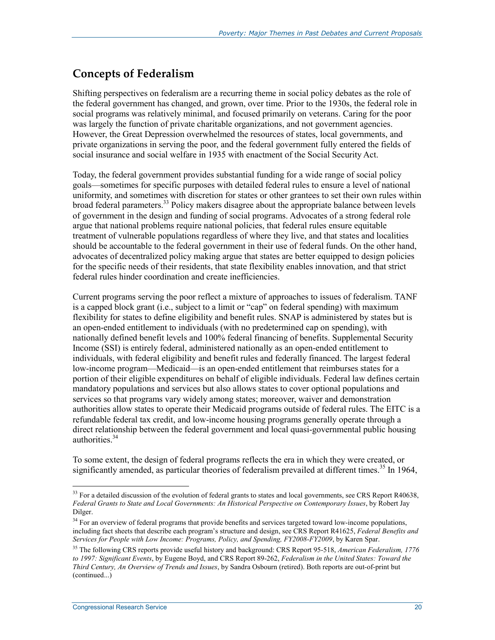### **Concepts of Federalism**

Shifting perspectives on federalism are a recurring theme in social policy debates as the role of the federal government has changed, and grown, over time. Prior to the 1930s, the federal role in social programs was relatively minimal, and focused primarily on veterans. Caring for the poor was largely the function of private charitable organizations, and not government agencies. However, the Great Depression overwhelmed the resources of states, local governments, and private organizations in serving the poor, and the federal government fully entered the fields of social insurance and social welfare in 1935 with enactment of the Social Security Act.

Today, the federal government provides substantial funding for a wide range of social policy goals—sometimes for specific purposes with detailed federal rules to ensure a level of national uniformity, and sometimes with discretion for states or other grantees to set their own rules within broad federal parameters.<sup>33</sup> Policy makers disagree about the appropriate balance between levels of government in the design and funding of social programs. Advocates of a strong federal role argue that national problems require national policies, that federal rules ensure equitable treatment of vulnerable populations regardless of where they live, and that states and localities should be accountable to the federal government in their use of federal funds. On the other hand, advocates of decentralized policy making argue that states are better equipped to design policies for the specific needs of their residents, that state flexibility enables innovation, and that strict federal rules hinder coordination and create inefficiencies.

Current programs serving the poor reflect a mixture of approaches to issues of federalism. TANF is a capped block grant (i.e., subject to a limit or "cap" on federal spending) with maximum flexibility for states to define eligibility and benefit rules. SNAP is administered by states but is an open-ended entitlement to individuals (with no predetermined cap on spending), with nationally defined benefit levels and 100% federal financing of benefits. Supplemental Security Income (SSI) is entirely federal, administered nationally as an open-ended entitlement to individuals, with federal eligibility and benefit rules and federally financed. The largest federal low-income program—Medicaid—is an open-ended entitlement that reimburses states for a portion of their eligible expenditures on behalf of eligible individuals. Federal law defines certain mandatory populations and services but also allows states to cover optional populations and services so that programs vary widely among states; moreover, waiver and demonstration authorities allow states to operate their Medicaid programs outside of federal rules. The EITC is a refundable federal tax credit, and low-income housing programs generally operate through a direct relationship between the federal government and local quasi-governmental public housing authorities.<sup>34</sup>

To some extent, the design of federal programs reflects the era in which they were created, or significantly amended, as particular theories of federalism prevailed at different times.<sup>35</sup> In 1964,

<sup>&</sup>lt;sup>33</sup> For a detailed discussion of the evolution of federal grants to states and local governments, see CRS Report R40638, *Federal Grants to State and Local Governments: An Historical Perspective on Contemporary Issues*, by Robert Jay Dilger.

<sup>&</sup>lt;sup>34</sup> For an overview of federal programs that provide benefits and services targeted toward low-income populations, including fact sheets that describe each program's structure and design, see CRS Report R41625, *Federal Benefits and Services for People with Low Income: Programs, Policy, and Spending, FY2008-FY2009*, by Karen Spar.

<sup>35</sup> The following CRS reports provide useful history and background: CRS Report 95-518, *American Federalism, 1776 to 1997: Significant Events*, by Eugene Boyd, and CRS Report 89-262, *Federalism in the United States: Toward the Third Century, An Overview of Trends and Issues*, by Sandra Osbourn (retired). Both reports are out-of-print but (continued...)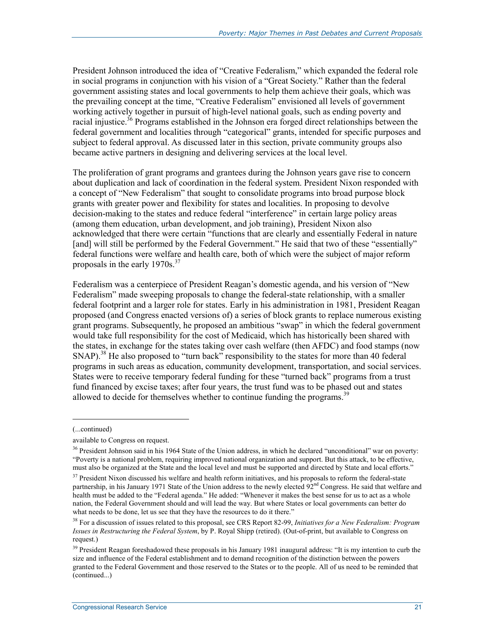President Johnson introduced the idea of "Creative Federalism," which expanded the federal role in social programs in conjunction with his vision of a "Great Society." Rather than the federal government assisting states and local governments to help them achieve their goals, which was the prevailing concept at the time, "Creative Federalism" envisioned all levels of government working actively together in pursuit of high-level national goals, such as ending poverty and racial injustice.<sup>36</sup> Programs established in the Johnson era forged direct relationships between the federal government and localities through "categorical" grants, intended for specific purposes and subject to federal approval. As discussed later in this section, private community groups also became active partners in designing and delivering services at the local level.

The proliferation of grant programs and grantees during the Johnson years gave rise to concern about duplication and lack of coordination in the federal system. President Nixon responded with a concept of "New Federalism" that sought to consolidate programs into broad purpose block grants with greater power and flexibility for states and localities. In proposing to devolve decision-making to the states and reduce federal "interference" in certain large policy areas (among them education, urban development, and job training), President Nixon also acknowledged that there were certain "functions that are clearly and essentially Federal in nature [and] will still be performed by the Federal Government." He said that two of these "essentially" federal functions were welfare and health care, both of which were the subject of major reform proposals in the early  $1970s^{37}$ 

Federalism was a centerpiece of President Reagan's domestic agenda, and his version of "New Federalism" made sweeping proposals to change the federal-state relationship, with a smaller federal footprint and a larger role for states. Early in his administration in 1981, President Reagan proposed (and Congress enacted versions of) a series of block grants to replace numerous existing grant programs. Subsequently, he proposed an ambitious "swap" in which the federal government would take full responsibility for the cost of Medicaid, which has historically been shared with the states, in exchange for the states taking over cash welfare (then AFDC) and food stamps (now SNAP).<sup>38</sup> He also proposed to "turn back" responsibility to the states for more than 40 federal programs in such areas as education, community development, transportation, and social services. States were to receive temporary federal funding for these "turned back" programs from a trust fund financed by excise taxes; after four years, the trust fund was to be phased out and states allowed to decide for themselves whether to continue funding the programs.<sup>39</sup>

 $\overline{\phantom{a}}$ 

<sup>(...</sup>continued)

available to Congress on request.

<sup>&</sup>lt;sup>36</sup> President Johnson said in his 1964 State of the Union address, in which he declared "unconditional" war on poverty: "Poverty is a national problem, requiring improved national organization and support. But this attack, to be effective, must also be organized at the State and the local level and must be supported and directed by State and local efforts."

 $37$  President Nixon discussed his welfare and health reform initiatives, and his proposals to reform the federal-state partnership, in his January 1971 State of the Union address to the newly elected  $92<sup>nd</sup>$  Congress. He said that welfare and health must be added to the "Federal agenda." He added: "Whenever it makes the best sense for us to act as a whole nation, the Federal Government should and will lead the way. But where States or local governments can better do what needs to be done, let us see that they have the resources to do it there."

<sup>38</sup> For a discussion of issues related to this proposal, see CRS Report 82-99, *Initiatives for a New Federalism: Program Issues in Restructuring the Federal System*, by P. Royal Shipp (retired). (Out-of-print, but available to Congress on request.)

<sup>&</sup>lt;sup>39</sup> President Reagan foreshadowed these proposals in his January 1981 inaugural address: "It is my intention to curb the size and influence of the Federal establishment and to demand recognition of the distinction between the powers granted to the Federal Government and those reserved to the States or to the people. All of us need to be reminded that (continued...)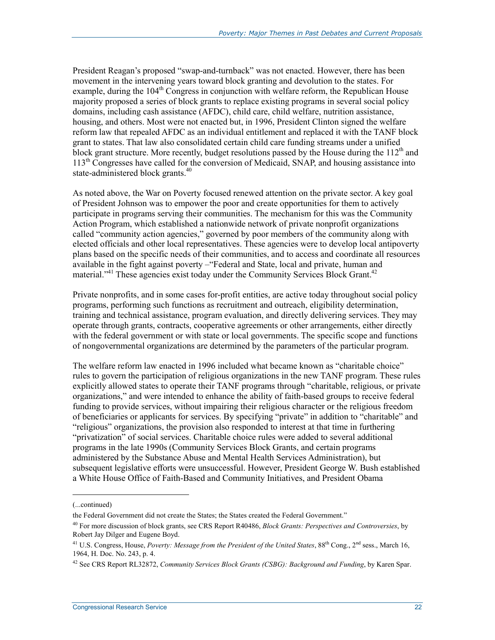President Reagan's proposed "swap-and-turnback" was not enacted. However, there has been movement in the intervening years toward block granting and devolution to the states. For example, during the  $104<sup>th</sup>$  Congress in conjunction with welfare reform, the Republican House majority proposed a series of block grants to replace existing programs in several social policy domains, including cash assistance (AFDC), child care, child welfare, nutrition assistance, housing, and others. Most were not enacted but, in 1996, President Clinton signed the welfare reform law that repealed AFDC as an individual entitlement and replaced it with the TANF block grant to states. That law also consolidated certain child care funding streams under a unified block grant structure. More recently, budget resolutions passed by the House during the  $112<sup>th</sup>$  and 113th Congresses have called for the conversion of Medicaid, SNAP, and housing assistance into state-administered block grants.<sup>40</sup>

As noted above, the War on Poverty focused renewed attention on the private sector. A key goal of President Johnson was to empower the poor and create opportunities for them to actively participate in programs serving their communities. The mechanism for this was the Community Action Program, which established a nationwide network of private nonprofit organizations called "community action agencies," governed by poor members of the community along with elected officials and other local representatives. These agencies were to develop local antipoverty plans based on the specific needs of their communities, and to access and coordinate all resources available in the fight against poverty –"Federal and State, local and private, human and material."<sup>41</sup> These agencies exist today under the Community Services Block Grant.<sup>42</sup>

Private nonprofits, and in some cases for-profit entities, are active today throughout social policy programs, performing such functions as recruitment and outreach, eligibility determination, training and technical assistance, program evaluation, and directly delivering services. They may operate through grants, contracts, cooperative agreements or other arrangements, either directly with the federal government or with state or local governments. The specific scope and functions of nongovernmental organizations are determined by the parameters of the particular program.

The welfare reform law enacted in 1996 included what became known as "charitable choice" rules to govern the participation of religious organizations in the new TANF program. These rules explicitly allowed states to operate their TANF programs through "charitable, religious, or private organizations," and were intended to enhance the ability of faith-based groups to receive federal funding to provide services, without impairing their religious character or the religious freedom of beneficiaries or applicants for services. By specifying "private" in addition to "charitable" and "religious" organizations, the provision also responded to interest at that time in furthering "privatization" of social services. Charitable choice rules were added to several additional programs in the late 1990s (Community Services Block Grants, and certain programs administered by the Substance Abuse and Mental Health Services Administration), but subsequent legislative efforts were unsuccessful. However, President George W. Bush established a White House Office of Faith-Based and Community Initiatives, and President Obama

<sup>(...</sup>continued)

the Federal Government did not create the States; the States created the Federal Government."

<sup>40</sup> For more discussion of block grants, see CRS Report R40486, *Block Grants: Perspectives and Controversies*, by Robert Jay Dilger and Eugene Boyd.

<sup>&</sup>lt;sup>41</sup> U.S. Congress, House, *Poverty: Message from the President of the United States*,  $88^{th}$  Cong.,  $2^{nd}$  sess., March 16, 1964, H. Doc. No. 243, p. 4.

<sup>42</sup> See CRS Report RL32872, *Community Services Block Grants (CSBG): Background and Funding*, by Karen Spar.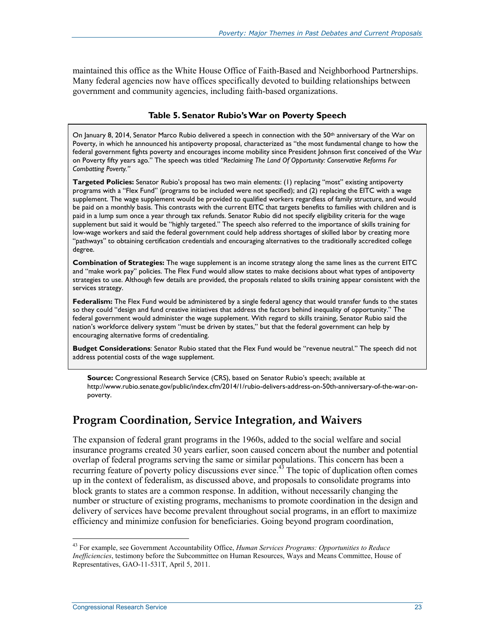maintained this office as the White House Office of Faith-Based and Neighborhood Partnerships. Many federal agencies now have offices specifically devoted to building relationships between government and community agencies, including faith-based organizations.

### **Table 5. Senator Rubio's War on Poverty Speech**

On January 8, 2014, Senator Marco Rubio delivered a speech in connection with the 50<sup>th</sup> anniversary of the War on Poverty, in which he announced his antipoverty proposal, characterized as "the most fundamental change to how the federal government fights poverty and encourages income mobility since President Johnson first conceived of the War on Poverty fifty years ago." The speech was titled *"Reclaiming The Land Of Opportunity: Conservative Reforms For Combatting Poverty."*

**Targeted Policies:** Senator Rubio's proposal has two main elements: (1) replacing "most" existing antipoverty programs with a "Flex Fund" (programs to be included were not specified); and (2) replacing the EITC with a wage supplement. The wage supplement would be provided to qualified workers regardless of family structure, and would be paid on a monthly basis. This contrasts with the current EITC that targets benefits to families with children and is paid in a lump sum once a year through tax refunds. Senator Rubio did not specify eligibility criteria for the wage supplement but said it would be "highly targeted." The speech also referred to the importance of skills training for low-wage workers and said the federal government could help address shortages of skilled labor by creating more "pathways" to obtaining certification credentials and encouraging alternatives to the traditionally accredited college degree.

**Combination of Strategies:** The wage supplement is an income strategy along the same lines as the current EITC and "make work pay" policies. The Flex Fund would allow states to make decisions about what types of antipoverty strategies to use. Although few details are provided, the proposals related to skills training appear consistent with the services strategy.

Federalism: The Flex Fund would be administered by a single federal agency that would transfer funds to the states so they could "design and fund creative initiatives that address the factors behind inequality of opportunity." The federal government would administer the wage supplement. With regard to skills training, Senator Rubio said the nation's workforce delivery system "must be driven by states," but that the federal government can help by encouraging alternative forms of credentialing.

**Budget Considerations**: Senator Rubio stated that the Flex Fund would be "revenue neutral." The speech did not address potential costs of the wage supplement.

**Source:** Congressional Research Service (CRS), based on Senator Rubio's speech; available at http://www.rubio.senate.gov/public/index.cfm/2014/1/rubio-delivers-address-on-50th-anniversary-of-the-war-onpoverty.

### **Program Coordination, Service Integration, and Waivers**

The expansion of federal grant programs in the 1960s, added to the social welfare and social insurance programs created 30 years earlier, soon caused concern about the number and potential overlap of federal programs serving the same or similar populations. This concern has been a recurring feature of poverty policy discussions ever since.<sup>43</sup> The topic of duplication often comes up in the context of federalism, as discussed above, and proposals to consolidate programs into block grants to states are a common response. In addition, without necessarily changing the number or structure of existing programs, mechanisms to promote coordination in the design and delivery of services have become prevalent throughout social programs, in an effort to maximize efficiency and minimize confusion for beneficiaries. Going beyond program coordination,

<sup>43</sup> For example, see Government Accountability Office, *Human Services Programs: Opportunities to Reduce Inefficiencies*, testimony before the Subcommittee on Human Resources, Ways and Means Committee, House of Representatives, GAO-11-531T, April 5, 2011.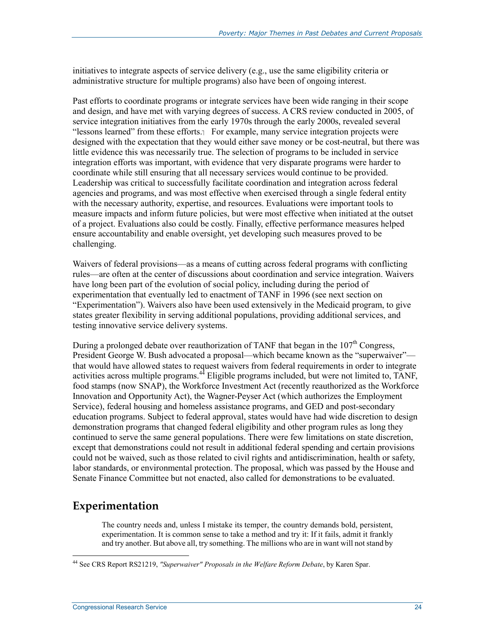initiatives to integrate aspects of service delivery (e.g., use the same eligibility criteria or administrative structure for multiple programs) also have been of ongoing interest.

Past efforts to coordinate programs or integrate services have been wide ranging in their scope and design, and have met with varying degrees of success. A CRS review conducted in 2005, of service integration initiatives from the early 1970s through the early 2000s, revealed several "lessons learned" from these efforts. $\frac{1}{1}$  For example, many service integration projects were designed with the expectation that they would either save money or be cost-neutral, but there was little evidence this was necessarily true. The selection of programs to be included in service integration efforts was important, with evidence that very disparate programs were harder to coordinate while still ensuring that all necessary services would continue to be provided. Leadership was critical to successfully facilitate coordination and integration across federal agencies and programs, and was most effective when exercised through a single federal entity with the necessary authority, expertise, and resources. Evaluations were important tools to measure impacts and inform future policies, but were most effective when initiated at the outset of a project. Evaluations also could be costly. Finally, effective performance measures helped ensure accountability and enable oversight, yet developing such measures proved to be challenging.

Waivers of federal provisions—as a means of cutting across federal programs with conflicting rules—are often at the center of discussions about coordination and service integration. Waivers have long been part of the evolution of social policy, including during the period of experimentation that eventually led to enactment of TANF in 1996 (see next section on "Experimentation"). Waivers also have been used extensively in the Medicaid program, to give states greater flexibility in serving additional populations, providing additional services, and testing innovative service delivery systems.

During a prolonged debate over reauthorization of TANF that began in the  $107<sup>th</sup>$  Congress, President George W. Bush advocated a proposal—which became known as the "superwaiver" that would have allowed states to request waivers from federal requirements in order to integrate activities across multiple programs. $44$  Eligible programs included, but were not limited to, TANF, food stamps (now SNAP), the Workforce Investment Act (recently reauthorized as the Workforce Innovation and Opportunity Act), the Wagner-Peyser Act (which authorizes the Employment Service), federal housing and homeless assistance programs, and GED and post-secondary education programs. Subject to federal approval, states would have had wide discretion to design demonstration programs that changed federal eligibility and other program rules as long they continued to serve the same general populations. There were few limitations on state discretion, except that demonstrations could not result in additional federal spending and certain provisions could not be waived, such as those related to civil rights and antidiscrimination, health or safety, labor standards, or environmental protection. The proposal, which was passed by the House and Senate Finance Committee but not enacted, also called for demonstrations to be evaluated.

## **Experimentation**

<u>.</u>

The country needs and, unless I mistake its temper, the country demands bold, persistent, experimentation. It is common sense to take a method and try it: If it fails, admit it frankly and try another. But above all, try something. The millions who are in want will not stand by

<sup>44</sup> See CRS Report RS21219, *"Superwaiver" Proposals in the Welfare Reform Debate*, by Karen Spar.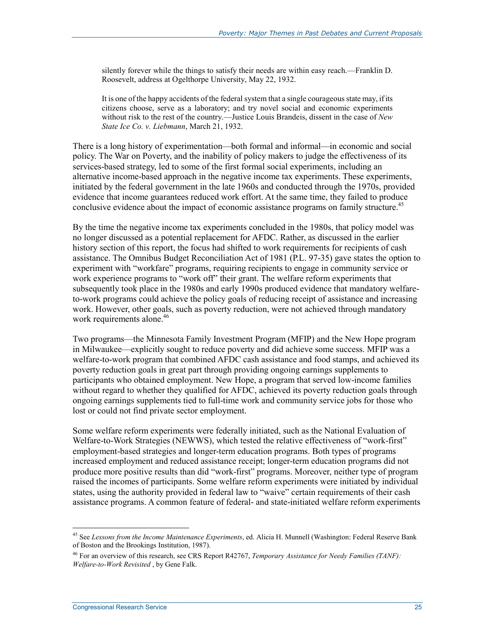silently forever while the things to satisfy their needs are within easy reach.—Franklin D. Roosevelt, address at Ogelthorpe University, May 22, 1932.

It is one of the happy accidents of the federal system that a single courageous state may, if its citizens choose, serve as a laboratory; and try novel social and economic experiments without risk to the rest of the country.—Justice Louis Brandeis, dissent in the case of *New State Ice Co. v. Liebmann*, March 21, 1932.

There is a long history of experimentation—both formal and informal—in economic and social policy. The War on Poverty, and the inability of policy makers to judge the effectiveness of its services-based strategy, led to some of the first formal social experiments, including an alternative income-based approach in the negative income tax experiments. These experiments, initiated by the federal government in the late 1960s and conducted through the 1970s, provided evidence that income guarantees reduced work effort. At the same time, they failed to produce conclusive evidence about the impact of economic assistance programs on family structure.<sup>45</sup>

By the time the negative income tax experiments concluded in the 1980s, that policy model was no longer discussed as a potential replacement for AFDC. Rather, as discussed in the earlier history section of this report, the focus had shifted to work requirements for recipients of cash assistance. The Omnibus Budget Reconciliation Act of 1981 (P.L. 97-35) gave states the option to experiment with "workfare" programs, requiring recipients to engage in community service or work experience programs to "work off" their grant. The welfare reform experiments that subsequently took place in the 1980s and early 1990s produced evidence that mandatory welfareto-work programs could achieve the policy goals of reducing receipt of assistance and increasing work. However, other goals, such as poverty reduction, were not achieved through mandatory work requirements alone.<sup>46</sup>

Two programs—the Minnesota Family Investment Program (MFIP) and the New Hope program in Milwaukee—explicitly sought to reduce poverty and did achieve some success. MFIP was a welfare-to-work program that combined AFDC cash assistance and food stamps, and achieved its poverty reduction goals in great part through providing ongoing earnings supplements to participants who obtained employment. New Hope, a program that served low-income families without regard to whether they qualified for AFDC, achieved its poverty reduction goals through ongoing earnings supplements tied to full-time work and community service jobs for those who lost or could not find private sector employment.

Some welfare reform experiments were federally initiated, such as the National Evaluation of Welfare-to-Work Strategies (NEWWS), which tested the relative effectiveness of "work-first" employment-based strategies and longer-term education programs. Both types of programs increased employment and reduced assistance receipt; longer-term education programs did not produce more positive results than did "work-first" programs. Moreover, neither type of program raised the incomes of participants. Some welfare reform experiments were initiated by individual states, using the authority provided in federal law to "waive" certain requirements of their cash assistance programs. A common feature of federal- and state-initiated welfare reform experiments

<sup>45</sup> See *Lessons from the Income Maintenance Experiments*, ed. Alicia H. Munnell (Washington: Federal Reserve Bank of Boston and the Brookings Institution, 1987).

<sup>46</sup> For an overview of this research, see CRS Report R42767, *Temporary Assistance for Needy Families (TANF): Welfare-to-Work Revisited* , by Gene Falk.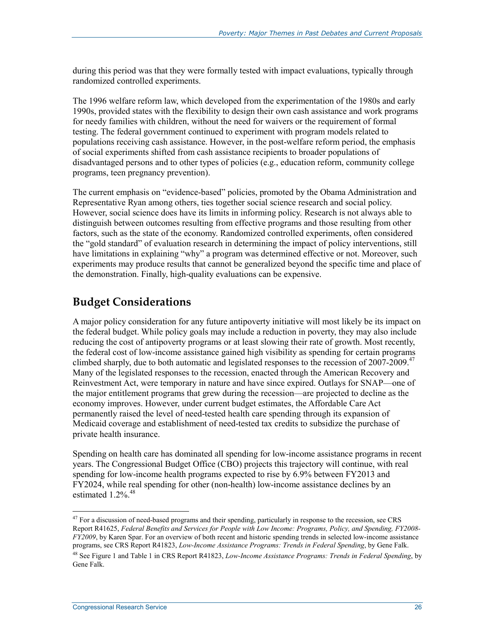during this period was that they were formally tested with impact evaluations, typically through randomized controlled experiments.

The 1996 welfare reform law, which developed from the experimentation of the 1980s and early 1990s, provided states with the flexibility to design their own cash assistance and work programs for needy families with children, without the need for waivers or the requirement of formal testing. The federal government continued to experiment with program models related to populations receiving cash assistance. However, in the post-welfare reform period, the emphasis of social experiments shifted from cash assistance recipients to broader populations of disadvantaged persons and to other types of policies (e.g., education reform, community college programs, teen pregnancy prevention).

The current emphasis on "evidence-based" policies, promoted by the Obama Administration and Representative Ryan among others, ties together social science research and social policy. However, social science does have its limits in informing policy. Research is not always able to distinguish between outcomes resulting from effective programs and those resulting from other factors, such as the state of the economy. Randomized controlled experiments, often considered the "gold standard" of evaluation research in determining the impact of policy interventions, still have limitations in explaining "why" a program was determined effective or not. Moreover, such experiments may produce results that cannot be generalized beyond the specific time and place of the demonstration. Finally, high-quality evaluations can be expensive.

### **Budget Considerations**

A major policy consideration for any future antipoverty initiative will most likely be its impact on the federal budget. While policy goals may include a reduction in poverty, they may also include reducing the cost of antipoverty programs or at least slowing their rate of growth. Most recently, the federal cost of low-income assistance gained high visibility as spending for certain programs climbed sharply, due to both automatic and legislated responses to the recession of  $2007-2009$ .<sup>47</sup> Many of the legislated responses to the recession, enacted through the American Recovery and Reinvestment Act, were temporary in nature and have since expired. Outlays for SNAP—one of the major entitlement programs that grew during the recession—are projected to decline as the economy improves. However, under current budget estimates, the Affordable Care Act permanently raised the level of need-tested health care spending through its expansion of Medicaid coverage and establishment of need-tested tax credits to subsidize the purchase of private health insurance.

Spending on health care has dominated all spending for low-income assistance programs in recent years. The Congressional Budget Office (CBO) projects this trajectory will continue, with real spending for low-income health programs expected to rise by 6.9% between FY2013 and FY2024, while real spending for other (non-health) low-income assistance declines by an estimated  $1.2\%$ <sup>48</sup>

<sup>&</sup>lt;sup>47</sup> For a discussion of need-based programs and their spending, particularly in response to the recession, see CRS Report R41625, *Federal Benefits and Services for People with Low Income: Programs, Policy, and Spending, FY2008- FY2009*, by Karen Spar. For an overview of both recent and historic spending trends in selected low-income assistance programs, see CRS Report R41823, *Low-Income Assistance Programs: Trends in Federal Spending*, by Gene Falk.

<sup>48</sup> See Figure 1 and Table 1 in CRS Report R41823, *Low-Income Assistance Programs: Trends in Federal Spending*, by Gene Falk.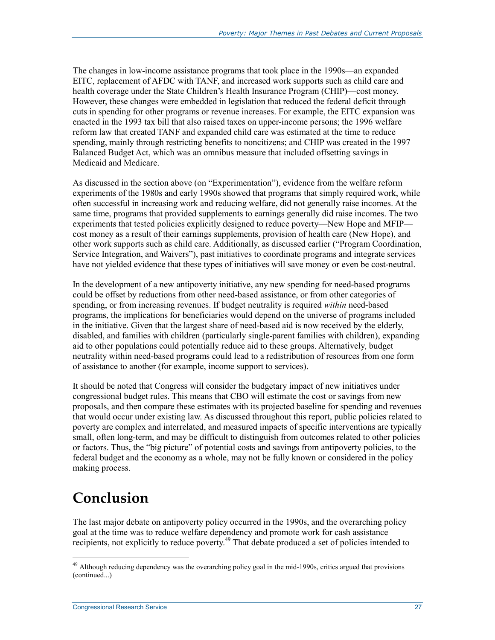The changes in low-income assistance programs that took place in the 1990s—an expanded EITC, replacement of AFDC with TANF, and increased work supports such as child care and health coverage under the State Children's Health Insurance Program (CHIP)—cost money. However, these changes were embedded in legislation that reduced the federal deficit through cuts in spending for other programs or revenue increases. For example, the EITC expansion was enacted in the 1993 tax bill that also raised taxes on upper-income persons; the 1996 welfare reform law that created TANF and expanded child care was estimated at the time to reduce spending, mainly through restricting benefits to noncitizens; and CHIP was created in the 1997 Balanced Budget Act, which was an omnibus measure that included offsetting savings in Medicaid and Medicare.

As discussed in the section above (on "Experimentation"), evidence from the welfare reform experiments of the 1980s and early 1990s showed that programs that simply required work, while often successful in increasing work and reducing welfare, did not generally raise incomes. At the same time, programs that provided supplements to earnings generally did raise incomes. The two experiments that tested policies explicitly designed to reduce poverty—New Hope and MFIP cost money as a result of their earnings supplements, provision of health care (New Hope), and other work supports such as child care. Additionally, as discussed earlier ("Program Coordination, Service Integration, and Waivers"), past initiatives to coordinate programs and integrate services have not yielded evidence that these types of initiatives will save money or even be cost-neutral.

In the development of a new antipoverty initiative, any new spending for need-based programs could be offset by reductions from other need-based assistance, or from other categories of spending, or from increasing revenues. If budget neutrality is required *within* need-based programs, the implications for beneficiaries would depend on the universe of programs included in the initiative. Given that the largest share of need-based aid is now received by the elderly, disabled, and families with children (particularly single-parent families with children), expanding aid to other populations could potentially reduce aid to these groups. Alternatively, budget neutrality within need-based programs could lead to a redistribution of resources from one form of assistance to another (for example, income support to services).

It should be noted that Congress will consider the budgetary impact of new initiatives under congressional budget rules. This means that CBO will estimate the cost or savings from new proposals, and then compare these estimates with its projected baseline for spending and revenues that would occur under existing law. As discussed throughout this report, public policies related to poverty are complex and interrelated, and measured impacts of specific interventions are typically small, often long-term, and may be difficult to distinguish from outcomes related to other policies or factors. Thus, the "big picture" of potential costs and savings from antipoverty policies, to the federal budget and the economy as a whole, may not be fully known or considered in the policy making process.

# **Conclusion**

<u>.</u>

The last major debate on antipoverty policy occurred in the 1990s, and the overarching policy goal at the time was to reduce welfare dependency and promote work for cash assistance recipients, not explicitly to reduce poverty.<sup>49</sup> That debate produced a set of policies intended to

 $49$  Although reducing dependency was the overarching policy goal in the mid-1990s, critics argued that provisions (continued...)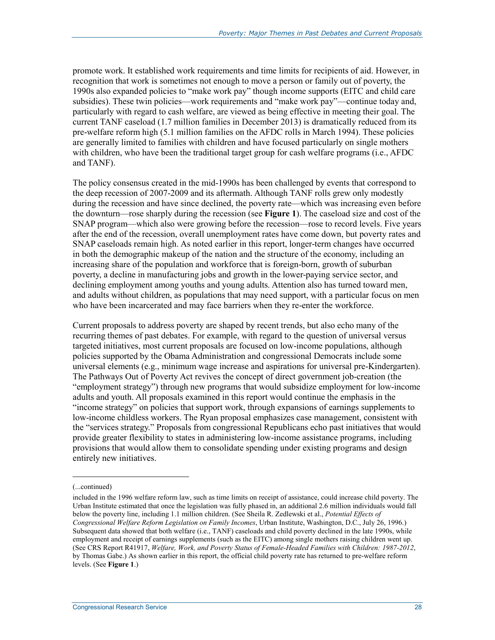promote work. It established work requirements and time limits for recipients of aid. However, in recognition that work is sometimes not enough to move a person or family out of poverty, the 1990s also expanded policies to "make work pay" though income supports (EITC and child care subsidies). These twin policies—work requirements and "make work pay"—continue today and, particularly with regard to cash welfare, are viewed as being effective in meeting their goal. The current TANF caseload (1.7 million families in December 2013) is dramatically reduced from its pre-welfare reform high (5.1 million families on the AFDC rolls in March 1994). These policies are generally limited to families with children and have focused particularly on single mothers with children, who have been the traditional target group for cash welfare programs (i.e., AFDC and TANF).

The policy consensus created in the mid-1990s has been challenged by events that correspond to the deep recession of 2007-2009 and its aftermath. Although TANF rolls grew only modestly during the recession and have since declined, the poverty rate—which was increasing even before the downturn—rose sharply during the recession (see **Figure 1**). The caseload size and cost of the SNAP program—which also were growing before the recession—rose to record levels. Five years after the end of the recession, overall unemployment rates have come down, but poverty rates and SNAP caseloads remain high. As noted earlier in this report, longer-term changes have occurred in both the demographic makeup of the nation and the structure of the economy, including an increasing share of the population and workforce that is foreign-born, growth of suburban poverty, a decline in manufacturing jobs and growth in the lower-paying service sector, and declining employment among youths and young adults. Attention also has turned toward men, and adults without children, as populations that may need support, with a particular focus on men who have been incarcerated and may face barriers when they re-enter the workforce.

Current proposals to address poverty are shaped by recent trends, but also echo many of the recurring themes of past debates. For example, with regard to the question of universal versus targeted initiatives, most current proposals are focused on low-income populations, although policies supported by the Obama Administration and congressional Democrats include some universal elements (e.g., minimum wage increase and aspirations for universal pre-Kindergarten). The Pathways Out of Poverty Act revives the concept of direct government job-creation (the "employment strategy") through new programs that would subsidize employment for low-income adults and youth. All proposals examined in this report would continue the emphasis in the "income strategy" on policies that support work, through expansions of earnings supplements to low-income childless workers. The Ryan proposal emphasizes case management, consistent with the "services strategy." Proposals from congressional Republicans echo past initiatives that would provide greater flexibility to states in administering low-income assistance programs, including provisions that would allow them to consolidate spending under existing programs and design entirely new initiatives.

<sup>(...</sup>continued)

included in the 1996 welfare reform law, such as time limits on receipt of assistance, could increase child poverty. The Urban Institute estimated that once the legislation was fully phased in, an additional 2.6 million individuals would fall below the poverty line, including 1.1 million children. (See Sheila R. Zedlewski et al., *Potential Effects of Congressional Welfare Reform Legislation on Family Incomes*, Urban Institute, Washington, D.C., July 26, 1996.) Subsequent data showed that both welfare (i.e., TANF) caseloads and child poverty declined in the late 1990s, while employment and receipt of earnings supplements (such as the EITC) among single mothers raising children went up. (See CRS Report R41917, *Welfare, Work, and Poverty Status of Female-Headed Families with Children: 1987-2012*, by Thomas Gabe.) As shown earlier in this report, the official child poverty rate has returned to pre-welfare reform levels. (See **Figure 1**.)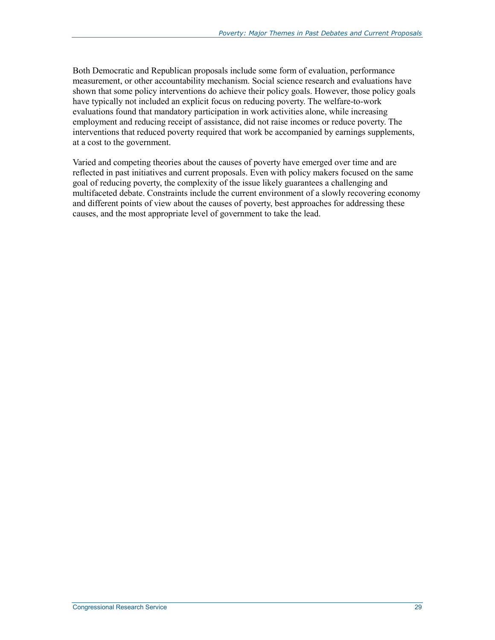Both Democratic and Republican proposals include some form of evaluation, performance measurement, or other accountability mechanism. Social science research and evaluations have shown that some policy interventions do achieve their policy goals. However, those policy goals have typically not included an explicit focus on reducing poverty. The welfare-to-work evaluations found that mandatory participation in work activities alone, while increasing employment and reducing receipt of assistance, did not raise incomes or reduce poverty. The interventions that reduced poverty required that work be accompanied by earnings supplements, at a cost to the government.

Varied and competing theories about the causes of poverty have emerged over time and are reflected in past initiatives and current proposals. Even with policy makers focused on the same goal of reducing poverty, the complexity of the issue likely guarantees a challenging and multifaceted debate. Constraints include the current environment of a slowly recovering economy and different points of view about the causes of poverty, best approaches for addressing these causes, and the most appropriate level of government to take the lead.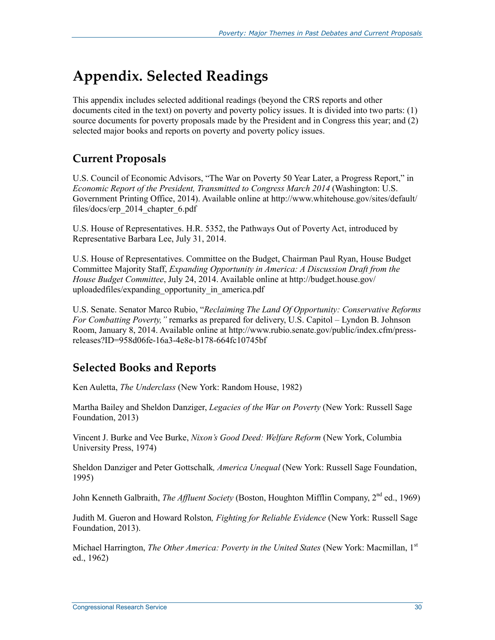# **Appendix. Selected Readings**

This appendix includes selected additional readings (beyond the CRS reports and other documents cited in the text) on poverty and poverty policy issues. It is divided into two parts: (1) source documents for poverty proposals made by the President and in Congress this year; and (2) selected major books and reports on poverty and poverty policy issues.

## **Current Proposals**

U.S. Council of Economic Advisors, "The War on Poverty 50 Year Later, a Progress Report," in *Economic Report of the President, Transmitted to Congress March 2014* (Washington: U.S. Government Printing Office, 2014). Available online at http://www.whitehouse.gov/sites/default/ files/docs/erp\_2014\_chapter\_6.pdf

U.S. House of Representatives. H.R. 5352, the Pathways Out of Poverty Act, introduced by Representative Barbara Lee, July 31, 2014.

U.S. House of Representatives. Committee on the Budget, Chairman Paul Ryan, House Budget Committee Majority Staff, *Expanding Opportunity in America: A Discussion Draft from the House Budget Committee*, July 24, 2014. Available online at http://budget.house.gov/ uploadedfiles/expanding\_opportunity\_in\_america.pdf

U.S. Senate. Senator Marco Rubio, "*Reclaiming The Land Of Opportunity: Conservative Reforms For Combatting Poverty,"* remarks as prepared for delivery, U.S. Capitol – Lyndon B. Johnson Room, January 8, 2014. Available online at http://www.rubio.senate.gov/public/index.cfm/pressreleases?ID=958d06fe-16a3-4e8e-b178-664fc10745bf

## **Selected Books and Reports**

Ken Auletta, *The Underclass* (New York: Random House, 1982)

Martha Bailey and Sheldon Danziger, *Legacies of the War on Poverty* (New York: Russell Sage Foundation, 2013)

Vincent J. Burke and Vee Burke, *Nixon's Good Deed: Welfare Reform* (New York, Columbia University Press, 1974)

Sheldon Danziger and Peter Gottschalk*, America Unequal* (New York: Russell Sage Foundation, 1995)

John Kenneth Galbraith, *The Affluent Society* (Boston, Houghton Mifflin Company, 2<sup>nd</sup> ed., 1969)

Judith M. Gueron and Howard Rolston*, Fighting for Reliable Evidence* (New York: Russell Sage Foundation, 2013).

Michael Harrington, *The Other America: Poverty in the United States* (New York: Macmillan, 1st ed., 1962)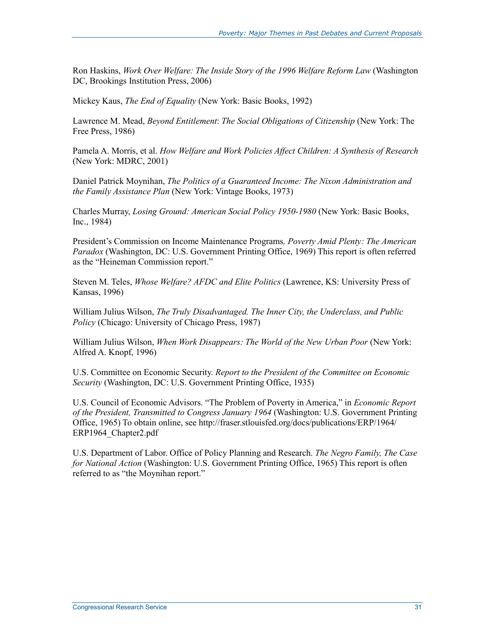Ron Haskins, *Work Over Welfare: The Inside Story of the 1996 Welfare Reform Law* (Washington DC, Brookings Institution Press, 2006)

Mickey Kaus, *The End of Equality* (New York: Basic Books, 1992)

Lawrence M. Mead, *Beyond Entitlement*: *The Social Obligations of Citizenship* (New York: The Free Press, 1986)

Pamela A. Morris, et al. *How Welfare and Work Policies Affect Children: A Synthesis of Research* (New York: MDRC, 2001)

Daniel Patrick Moynihan, *The Politics of a Guaranteed Income: The Nixon Administration and the Family Assistance Plan* (New York: Vintage Books, 1973)

Charles Murray, *Losing Ground: American Social Policy 1950-1980* (New York: Basic Books, Inc., 1984)

President's Commission on Income Maintenance Programs*, Poverty Amid Plenty: The American Paradox* (Washington, DC: U.S. Government Printing Office, 1969) This report is often referred as the "Heineman Commission report."

Steven M. Teles, *Whose Welfare? AFDC and Elite Politics* (Lawrence, KS: University Press of Kansas, 1996)

William Julius Wilson, *The Truly Disadvantaged. The Inner City, the Underclass, and Public Policy* (Chicago: University of Chicago Press, 1987)

William Julius Wilson, *When Work Disappears: The World of the New Urban Poor* (New York: Alfred A. Knopf, 1996)

U.S. Committee on Economic Security. *Report to the President of the Committee on Economic Security* (Washington, DC: U.S. Government Printing Office, 1935)

U.S. Council of Economic Advisors. "The Problem of Poverty in America," in *Economic Report of the President, Transmitted to Congress January 1964* (Washington: U.S. Government Printing Office, 1965) To obtain online, see http://fraser.stlouisfed.org/docs/publications/ERP/1964/ ERP1964\_Chapter2.pdf

U.S. Department of Labor. Office of Policy Planning and Research. *The Negro Family, The Case for National Action* (Washington: U.S. Government Printing Office, 1965) This report is often referred to as "the Moynihan report."